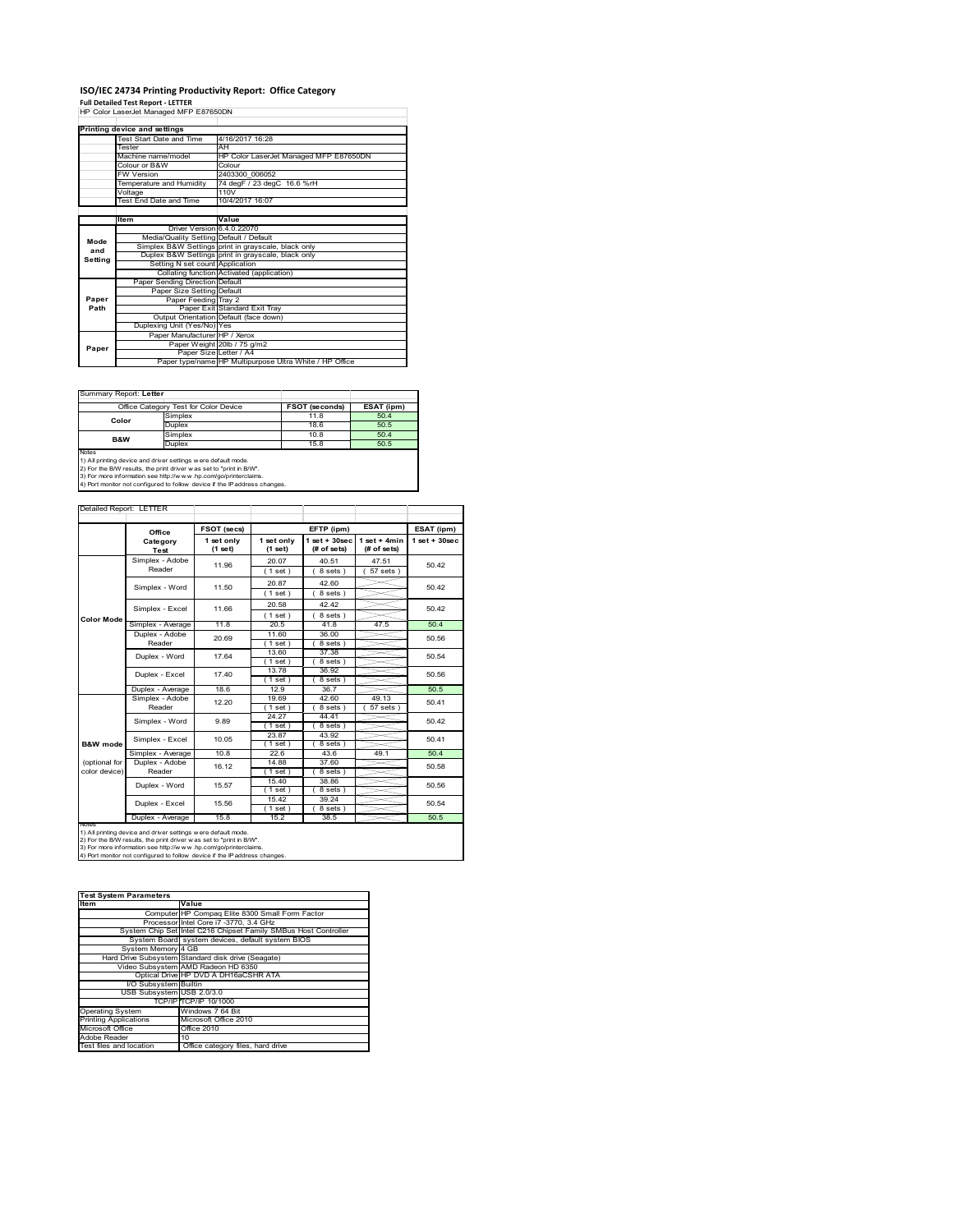# **ISO/IEC 24734 Printing Productivity Report: Office Category Full Detailed Test Report ‐ LETTER** HP Color LaserJet Managed MFP E87650DN

|         | Printing device and settings            |                                                         |  |  |
|---------|-----------------------------------------|---------------------------------------------------------|--|--|
|         | Test Start Date and Time                | 4/16/2017 16:28                                         |  |  |
|         | Tester                                  | AH                                                      |  |  |
|         | Machine name/model                      | HP Color LaserJet Managed MFP E87650DN                  |  |  |
|         | Colour or B&W                           | Colour                                                  |  |  |
|         | <b>FW Version</b>                       | 2403300 006052                                          |  |  |
|         | Temperature and Humidity                | 74 degF / 23 degC 16.6 %rH                              |  |  |
|         | Voltage                                 | 110V                                                    |  |  |
|         | Test End Date and Time                  | 10/4/2017 16:07                                         |  |  |
|         |                                         |                                                         |  |  |
|         | <b>Item</b>                             | Value                                                   |  |  |
|         | Driver Version 6.4.0.22070              |                                                         |  |  |
| Mode    | Media/Quality Setting Default / Default |                                                         |  |  |
| and     |                                         | Simplex B&W Settings print in grayscale, black only     |  |  |
| Setting |                                         | Duplex B&W Settings print in grayscale, black only      |  |  |
|         | Setting N set count Application         |                                                         |  |  |
|         |                                         | Collating function Activated (application)              |  |  |
|         | Paper Sending Direction Default         |                                                         |  |  |
|         | Paper Size Setting Default              |                                                         |  |  |
| Paper   | Paper Feeding Tray 2                    |                                                         |  |  |
| Path    |                                         | Paper Exit Standard Exit Tray                           |  |  |
|         |                                         | Output Orientation Default (face down)                  |  |  |
|         | Duplexing Unit (Yes/No) Yes             |                                                         |  |  |
|         | Paper Manufacturer HP / Xerox           |                                                         |  |  |
| Paper   |                                         | Paper Weight 20lb / 75 g/m2                             |  |  |
|         | Paper Size Letter / A4                  |                                                         |  |  |
|         |                                         | Paper type/name HP Multipurpose Ultra White / HP Office |  |  |

÷,

#### Summary Report: **Letter**

|                | Office Category Test for Color Device | FSOT (seconds) | ESAT (ipm) |
|----------------|---------------------------------------|----------------|------------|
| Color          | Simplex                               | 11.8           | 50.4       |
|                | Duplex                                | 18.6           | 50.5       |
| <b>B&amp;W</b> | Simplex                               | 10.8           | 50.4       |
|                | Duplex                                | 15.8           | 50.5       |
| <b>Notes</b>   |                                       |                |            |

Notes<br>1) All printing device and driver settings were default mode.<br>2) For the B/W results, the print driver was set to "print in B/W".<br>3) For more information see http://www.vhp.com/go/printerclaims.<br>4) Por more informati

Detailed Report: LETTER

|                                                                                                                                                                                                                                                                                                        |                            | FSOT (secs)           |                         | EFTP (ipm)                     |                               | ESAT (ipm)         |
|--------------------------------------------------------------------------------------------------------------------------------------------------------------------------------------------------------------------------------------------------------------------------------------------------------|----------------------------|-----------------------|-------------------------|--------------------------------|-------------------------------|--------------------|
|                                                                                                                                                                                                                                                                                                        | Office<br>Category<br>Test | 1 set only<br>(1 set) | 1 set only<br>$(1$ set) | $1$ set + 30sec<br>(# of sets) | $1$ set + 4min<br>(# of sets) | $1$ set + $30$ sec |
|                                                                                                                                                                                                                                                                                                        | Simplex - Adobe<br>Reader  | 11.96                 | 20.07<br>$1$ set)       | 40.51<br>8 sets)               | 47.51<br>$57$ sets $)$        | 50.42              |
|                                                                                                                                                                                                                                                                                                        | Simplex - Word             | 11.50                 | 20.87<br>(1 set)        | 42.60<br>8 sets)               |                               | 50.42              |
|                                                                                                                                                                                                                                                                                                        | Simplex - Excel            | 11.66                 | 20.58<br>(1 set)        | 42.42<br>8 sets)               |                               | 50.42              |
| <b>Color Mode</b>                                                                                                                                                                                                                                                                                      | Simplex - Average          | 11.8                  | 20.5                    | 41.8                           | 47.5                          | 50.4               |
|                                                                                                                                                                                                                                                                                                        | Duplex - Adobe<br>Reader   | 20.69                 | 11.60<br>$1$ set)       | 36.00<br>8 sets)               |                               | 50.56              |
|                                                                                                                                                                                                                                                                                                        | Duplex - Word              | 17.64                 | 13.60<br>$1$ set        | 37.38<br>8 sets)               |                               | 50.54              |
|                                                                                                                                                                                                                                                                                                        | Duplex - Excel             | 17.40                 | 13.78<br>$1$ set        | 36.92<br>8 sets)               |                               | 50.56              |
|                                                                                                                                                                                                                                                                                                        | Duplex - Average           | 18.6                  | 12.9                    | 36.7                           |                               | 50.5               |
|                                                                                                                                                                                                                                                                                                        | Simplex - Adobe<br>Reader  | 12.20                 | 19.69<br>$1$ set        | 42.60<br>8 sets                | 49.13<br>57 sets              | 50.41              |
|                                                                                                                                                                                                                                                                                                        | Simplex - Word             | 9.89                  | 24.27<br>$1$ set        | 44.41<br>8 sets)               |                               | 50.42              |
| B&W mode                                                                                                                                                                                                                                                                                               | Simplex - Excel            | 10.05                 | 23.87<br>1 set          | 43.92<br>8 sets                |                               | 50.41              |
|                                                                                                                                                                                                                                                                                                        | Simplex - Average          | 10.8                  | 22.6                    | 43.6                           | 49.1                          | 50.4               |
| (optional for<br>color device)                                                                                                                                                                                                                                                                         | Duplex - Adobe<br>Reader   | 16.12                 | 14.88<br>(1 set)        | 37.60<br>8 sets)               |                               | 50.58              |
|                                                                                                                                                                                                                                                                                                        | Duplex - Word              | 15.57                 | 15.40<br>1 set          | 38.86<br>8 sets                |                               | 50.56              |
|                                                                                                                                                                                                                                                                                                        | Duplex - Excel             | 15.56                 | 15.42<br>$1$ set        | 39.24<br>8 sets )              |                               | 50.54              |
|                                                                                                                                                                                                                                                                                                        | Duplex - Average           | 15.8                  | 15.2                    | 38.5                           |                               | 50.5               |
| <b>NOtes</b><br>1) All printing device and driver settings w ere default mode.<br>2) For the B/W results, the print driver was set to "print in B/W".<br>3) For more information see http://www.hp.com/go/printerclaims.<br>4) Port monitor not configured to follow device if the IP address changes. |                            |                       |                         |                                |                               |                    |

| <b>Test System Parameters</b>                                   |  |  |  |  |
|-----------------------------------------------------------------|--|--|--|--|
| Value                                                           |  |  |  |  |
| Computer HP Compaq Elite 8300 Small Form Factor                 |  |  |  |  |
| Processor Intel Core i7 -3770, 3.4 GHz                          |  |  |  |  |
| System Chip Set Intel C216 Chipset Family SMBus Host Controller |  |  |  |  |
| System Board system devices, default system BIOS                |  |  |  |  |
| System Memory 4 GB                                              |  |  |  |  |
| Hard Drive Subsystem Standard disk drive (Seagate)              |  |  |  |  |
| Video Subsystem AMD Radeon HD 6350                              |  |  |  |  |
| Optical Drive HP DVD A DH16aCSHR ATA                            |  |  |  |  |
| I/O Subsystem Builtin                                           |  |  |  |  |
| USB Subsystem USB 2.0/3.0                                       |  |  |  |  |
| TCP/IPITCP/IP 10/1000                                           |  |  |  |  |
| Windows 7 64 Bit                                                |  |  |  |  |
| Microsoft Office 2010                                           |  |  |  |  |
| Office 2010                                                     |  |  |  |  |
| 10                                                              |  |  |  |  |
| Office category files, hard drive                               |  |  |  |  |
|                                                                 |  |  |  |  |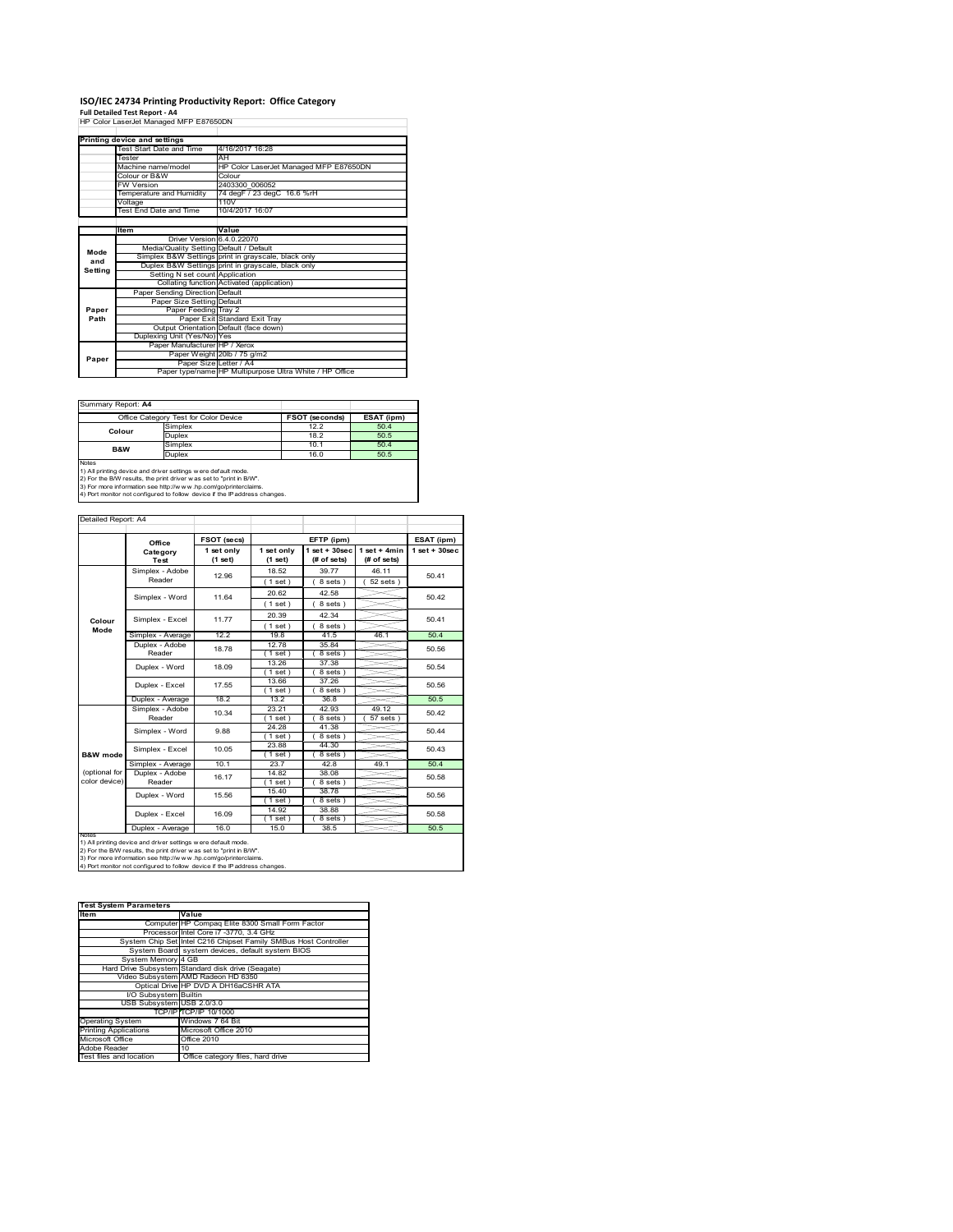# **ISO/IEC 24734 Printing Productivity Report: Office Category Full Detailed Test Report ‐ A4** HP Color LaserJet Managed MFP E87650DN

|         | HP Color LaserJet Mahaded MFP E87650DN  |                                                         |  |
|---------|-----------------------------------------|---------------------------------------------------------|--|
|         |                                         |                                                         |  |
|         | Printing device and settings            |                                                         |  |
|         | Test Start Date and Time                | 4/16/2017 16:28                                         |  |
|         | Tester                                  | AH                                                      |  |
|         | Machine name/model                      | HP Color LaserJet Managed MFP E87650DN                  |  |
|         | Colour or B&W                           | Colour                                                  |  |
|         | <b>FW Version</b>                       | 2403300 006052                                          |  |
|         | Temperature and Humidity                | 74 degF / 23 degC 16.6 %rH                              |  |
|         | Voltage                                 | 110V                                                    |  |
|         | Test End Date and Time                  | 10/4/2017 16:07                                         |  |
|         |                                         |                                                         |  |
|         | Item                                    | Value                                                   |  |
|         | Driver Version 6.4.0.22070              |                                                         |  |
| Mode    | Media/Quality Setting Default / Default |                                                         |  |
| and     |                                         | Simplex B&W Settings print in grayscale, black only     |  |
| Setting |                                         | Duplex B&W Settings print in grayscale, black only      |  |
|         | Setting N set count Application         |                                                         |  |
|         |                                         | Collating function Activated (application)              |  |
|         | Paper Sending Direction Default         |                                                         |  |
|         | Paper Size Setting Default              |                                                         |  |
| Paper   | Paper Feeding Tray 2                    |                                                         |  |
| Path    |                                         | Paper Exit Standard Exit Tray                           |  |
|         |                                         | Output Orientation Default (face down)                  |  |
|         | Duplexing Unit (Yes/No) Yes             |                                                         |  |
|         | Paper Manufacturer HP / Xerox           |                                                         |  |
| Paper   |                                         | Paper Weight 20lb / 75 g/m2                             |  |
|         |                                         | Paper Size Letter / A4                                  |  |
|         |                                         | Paper type/name HP Multipurpose Ultra White / HP Office |  |

Summary Report: **A4**

|                                                                            | Office Category Test for Color Device                          | <b>FSOT (seconds)</b> | ESAT (ipm) |  |  |  |
|----------------------------------------------------------------------------|----------------------------------------------------------------|-----------------------|------------|--|--|--|
| Colour                                                                     | Simplex                                                        | 12.2                  | 50.4       |  |  |  |
|                                                                            | Duplex                                                         | 18.2                  | 50.5       |  |  |  |
| <b>B&amp;W</b>                                                             | Simplex                                                        | 10.1                  | 50.4       |  |  |  |
|                                                                            | Duplex                                                         | 16.0                  | 50.5       |  |  |  |
| <b>Notes</b>                                                               |                                                                |                       |            |  |  |  |
|                                                                            | 1) All printing device and driver settings w ere default mode. |                       |            |  |  |  |
| 2) For the B/W results, the print driver was set to "print in B/W".        |                                                                |                       |            |  |  |  |
| 3) For more information see http://www.hp.com/go/printerclaims.            |                                                                |                       |            |  |  |  |
| 4) Port monitor not configured to follow device if the IP address changes. |                                                                |                       |            |  |  |  |

|                                |                                   | FSOT (secs)           |                       | EFTP (ipm)                        |                               | ESAT (ipm)        |
|--------------------------------|-----------------------------------|-----------------------|-----------------------|-----------------------------------|-------------------------------|-------------------|
|                                | Office<br>Category<br><b>Test</b> | 1 set only<br>(1 set) | 1 set only<br>(1 set) | $1$ set + $30$ sec<br>(# of sets) | $1$ set + 4min<br>(# of sets) | $1$ set $+30$ sec |
|                                | Simplex - Adobe                   | 12.96                 | 18.52                 | 39.77                             | 46.11                         | 50.41             |
|                                | Reader                            |                       | $1$ set)              | 8 sets)                           | $52$ sets $)$                 |                   |
|                                | Simplex - Word                    | 11.64                 | 20.62                 | 42.58                             |                               | 50.42             |
|                                |                                   |                       | (1 set)               | 8 sets)                           |                               |                   |
|                                |                                   |                       | 20.39                 | 42.34                             |                               |                   |
| Colour                         | Simplex - Excel                   | 11.77                 | (1 set)               | 8 sets)                           |                               | 50.41             |
| Mode                           | Simplex - Average                 | 12.2                  | 19.8                  | 41.5                              | 46.1                          | 50.4              |
|                                | Duplex - Adobe                    | 18.78                 | 12.78                 | 35.84                             |                               | 50.56             |
|                                | Reader                            |                       | (1 set)               | 8 sets)                           |                               |                   |
|                                | Duplex - Word                     | 18.09                 | 13.26                 | 37.38                             |                               | 50.54             |
|                                |                                   |                       | (1 set)               | 8 sets)                           |                               |                   |
|                                | Duplex - Excel                    | 17.55                 | 13.66                 | 37.26                             |                               | 50.56             |
|                                |                                   |                       | $1$ set               | 8 sets)                           |                               |                   |
|                                | Duplex - Average                  | 18.2                  | 13.2                  | 36.8                              |                               | 50.5              |
|                                | Simplex - Adobe                   | 10.34                 | 23.21                 | 42.93                             | 49.12                         | 50.42             |
|                                | Reader                            |                       | $1$ set               | 8 sets                            | 57 sets                       |                   |
|                                | Simplex - Word                    | 9.88                  | 24.28                 | 41.38                             |                               | 50.44             |
|                                |                                   |                       | (1 set)               | 8 sets)                           |                               |                   |
|                                | Simplex - Excel                   | 10.05                 | 23.88                 | 44.30                             |                               | 50.43             |
| B&W mode                       |                                   |                       | $1$ set               | 8 sets)                           |                               |                   |
|                                | Simplex - Average                 | 10.1                  | 23.7                  | 42.8                              | 49.1                          | 50.4              |
| (optional for<br>color device) | Duplex - Adobe                    | 16.17                 | 14.82                 | 38.08                             |                               | 50.58             |
|                                | Reader                            |                       | $1$ set               | 8 sets)                           |                               |                   |
|                                | Duplex - Word                     | 15.56                 | 15.40<br>(1 set)      | 38.78<br>8 sets)                  |                               | 50.56             |
|                                |                                   |                       | 14.92                 | 38.88                             |                               |                   |
|                                | Duplex - Excel                    | 16.09                 | $1$ set)              | 8 sets)                           |                               | 50.58             |
|                                | Duplex - Average                  | 16.0                  | 15.0                  | 38.5                              |                               | 50.5              |
| <b>NOTAS</b>                   |                                   |                       |                       |                                   |                               |                   |

| <b>Test System Parameters</b> |                                                                 |
|-------------------------------|-----------------------------------------------------------------|
| Item                          | Value                                                           |
|                               | Computer HP Compaq Elite 8300 Small Form Factor                 |
|                               | Processor Intel Core i7 -3770, 3.4 GHz                          |
|                               | System Chip Set Intel C216 Chipset Family SMBus Host Controller |
|                               | System Board system devices, default system BIOS                |
| System Memory 4 GB            |                                                                 |
|                               | Hard Drive Subsystem Standard disk drive (Seagate)              |
|                               | Video Subsystem AMD Radeon HD 6350                              |
|                               | Optical Drive HP DVD A DH16aCSHR ATA                            |
| I/O Subsystem Builtin         |                                                                 |
| USB Subsystem USB 2.0/3.0     |                                                                 |
|                               | TCP/IPITCP/IP 10/1000                                           |
| <b>Operating System</b>       | Windows 7 64 Bit                                                |
| <b>Printing Applications</b>  | Microsoft Office 2010                                           |
| Microsoft Office              | Office 2010                                                     |
| Adobe Reader                  | 10                                                              |
| Test files and location       | Office category files, hard drive                               |
|                               |                                                                 |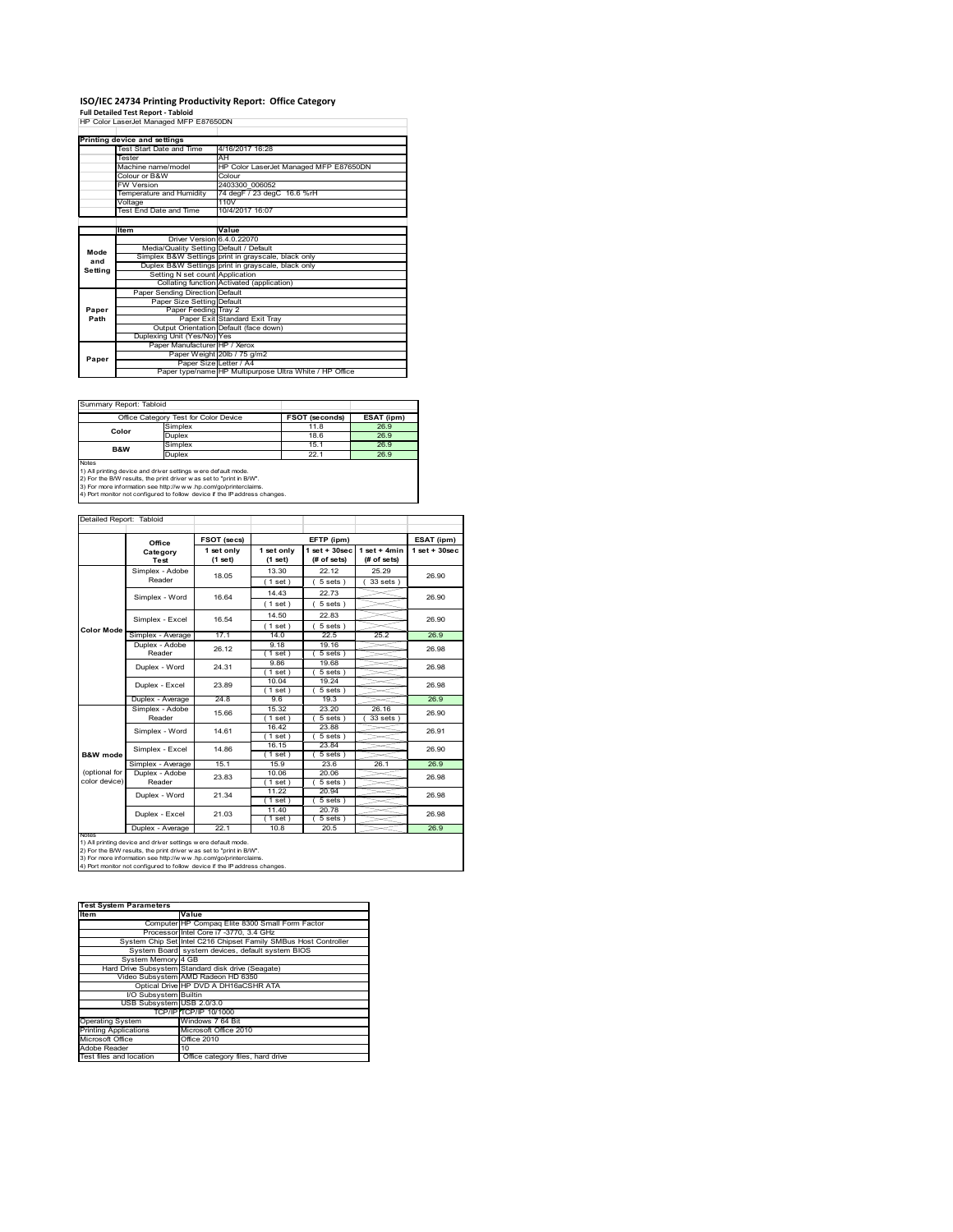# **ISO/IEC 24734 Printing Productivity Report: Office Category Full Detailed Test Report ‐ Tabloid** HP Color LaserJet Managed MFP E87650DN

|         | HP COIOI Lasendel Managed MFP E67000DN  |                                                         |  |  |
|---------|-----------------------------------------|---------------------------------------------------------|--|--|
|         | Printing device and settings            |                                                         |  |  |
|         | Test Start Date and Time                | 4/16/2017 16:28                                         |  |  |
|         | Tester                                  | AH                                                      |  |  |
|         | Machine name/model                      | HP Color LaserJet Managed MFP E87650DN                  |  |  |
|         | Colour or B&W                           | Colour                                                  |  |  |
|         | <b>FW Version</b>                       | 2403300 006052                                          |  |  |
|         | Temperature and Humidity                | 74 degF / 23 degC 16.6 %rH                              |  |  |
|         | Voltage                                 | 110V                                                    |  |  |
|         | Test End Date and Time                  | 10/4/2017 16:07                                         |  |  |
|         |                                         |                                                         |  |  |
|         | Item                                    | Value                                                   |  |  |
|         | Driver Version 64 0 22070               |                                                         |  |  |
| Mode    | Media/Quality Setting Default / Default |                                                         |  |  |
| and     |                                         | Simplex B&W Settings print in grayscale, black only     |  |  |
| Settina |                                         | Duplex B&W Settings print in grayscale, black only      |  |  |
|         | Setting N set count Application         |                                                         |  |  |
|         |                                         | Collating function Activated (application)              |  |  |
|         | Paper Sending Direction Default         |                                                         |  |  |
|         | Paper Size Setting Default              |                                                         |  |  |
| Paper   | Paper Feeding Tray 2                    |                                                         |  |  |
| Path    |                                         | Paper Exit Standard Exit Tray                           |  |  |
|         |                                         | Output Orientation Default (face down)                  |  |  |
|         | Duplexing Unit (Yes/No) Yes             |                                                         |  |  |
|         | Paper Manufacturer HP / Xerox           |                                                         |  |  |
| Paper   |                                         | Paper Weight 20lb / 75 g/m2                             |  |  |
|         |                                         | Paper Size Letter / A4                                  |  |  |
|         |                                         | Paper type/name HP Multipurpose Ultra White / HP Office |  |  |

Summary Report: Tabloid

|                                                                                                                                                                                                                                             | Office Category Test for Color Device | <b>FSOT (seconds)</b> | ESAT (ipm) |  |  |
|---------------------------------------------------------------------------------------------------------------------------------------------------------------------------------------------------------------------------------------------|---------------------------------------|-----------------------|------------|--|--|
| Color                                                                                                                                                                                                                                       | Simplex                               | 11.8                  | 26.9       |  |  |
|                                                                                                                                                                                                                                             | Duplex                                | 18.6                  | 26.9       |  |  |
| <b>B&amp;W</b>                                                                                                                                                                                                                              | Simplex                               | 15.1                  | 26.9       |  |  |
|                                                                                                                                                                                                                                             | Duplex                                | 22.1                  | 26.9       |  |  |
| Notes<br>the company of the company of the company of the company of the company of the company of the company of the company of the company of the company of the company of the company of the company of the company of the company<br>. |                                       |                       |            |  |  |

Notes<br>1) All printing device and driver settings were default mode.<br>2) For the B/W results, the print driver was set to "print in B/W".<br>3) For more information see http://www.hp.com/go/printerclaims.<br>4) Por more informatio

| Detailed Report: Tabloid |                         |                       |                       |                                   |                               |                    |
|--------------------------|-------------------------|-----------------------|-----------------------|-----------------------------------|-------------------------------|--------------------|
|                          | Office                  | FSOT (secs)           |                       | EFTP (ipm)                        |                               | ESAT (ipm)         |
|                          | Category<br><b>Test</b> | 1 set only<br>(1 set) | 1 set only<br>(1 set) | $1$ set + $30$ sec<br>(# of sets) | $1$ set + 4min<br>(# of sets) | $1$ set + $30$ sec |
|                          | Simplex - Adobe         | 18.05                 | 13.30                 | 22.12                             | 25.29                         | 26.90              |
|                          | Reader                  |                       | (1 set)               | 5 sets)                           | $33 sets$ )                   |                    |
|                          | Simplex - Word          | 16.64                 | 14.43                 | 22.73                             |                               | 26.90              |
|                          |                         |                       | $1$ set $)$           | $5 sets$ )                        |                               |                    |
|                          | Simplex - Excel         | 16.54                 | 14.50                 | 22.83                             |                               | 26.90              |
| <b>Color Mode</b>        |                         |                       | $'1$ set)             | 5 sets)                           |                               |                    |
|                          | Simplex - Average       | 17.1                  | 14.0                  | 22.5                              | 25.2                          | 26.9               |
|                          | Duplex - Adobe          | 26.12                 | 9.18                  | 19.16                             |                               | 26.98              |
|                          | Reader                  |                       | $1$ set)              | 5 sets)                           |                               |                    |
|                          | Duplex - Word           | 24.31                 | 9.86                  | 19.68                             |                               | 26.98              |
|                          |                         |                       | $1$ set)              | 5 sets)                           |                               |                    |
|                          | Duplex - Excel          | 23.89                 | 10.04                 | 19.24                             |                               | 26.98              |
|                          | Duplex - Average        | 24.8                  | $1$ set)<br>96        | $5 sets$ )<br>19.3                |                               | 26.9               |
|                          | Simplex - Adobe         |                       | 15.32                 | 23.20                             | 26.16                         |                    |
|                          | Reader                  | 15.66                 | $1$ set)              | $5 sets$ )                        | $33$ sets $)$                 | 26.90              |
|                          |                         |                       | 16.42                 | 23.88                             |                               |                    |
|                          | Simplex - Word          | 14.61                 | $1$ set)              | $5 sets$ )                        |                               | 26.91              |
|                          | Simplex - Excel         | 14.86                 | 16.15                 | 23.84                             |                               | 26.90              |
| B&W mode                 |                         |                       | $1$ set)              | 5 sets)                           |                               |                    |
|                          | Simplex - Average       | 15.1                  | 15.9                  | 23.6                              | 26.1                          | 26.9               |
| (optional for            | Duplex - Adobe          | 23.83                 | 10.06                 | 20.06                             |                               | 26.98              |
| color device)            | Reader                  |                       | $1$ set)              | $5 sets$ )                        |                               |                    |
|                          | Duplex - Word           | 21.34                 | 11.22                 | 20.94                             |                               | 26.98              |
|                          |                         |                       | $1$ set)              | $5 sets$ )                        |                               | 26.98              |
|                          | Duplex - Excel          | 21.03                 | 11.40<br>$1$ set $)$  | 20.78<br>$5 sets$ )               |                               |                    |
|                          | Duplex - Average        | 22.1                  | 10.8                  | 20.5                              |                               | 26.9               |
| <b>INOTES</b>            |                         |                       |                       |                                   |                               |                    |

notes<br>1) All printing device and driver settings w ere default mode.<br>2) For the B/W results, the print driver was set to "print in B/W".<br>3) For more information see http://www.vhp.com/go/printerclaims.<br>4) For more informat

| <b>Test System Parameters</b> |                                                                 |
|-------------------------------|-----------------------------------------------------------------|
| <b>Item</b>                   | Value                                                           |
|                               | Computer HP Compaq Elite 8300 Small Form Factor                 |
|                               | Processor Intel Core i7 -3770, 3.4 GHz                          |
|                               | System Chip Set Intel C216 Chipset Family SMBus Host Controller |
|                               | System Board system devices, default system BIOS                |
| System Memory 4 GB            |                                                                 |
|                               | Hard Drive Subsystem Standard disk drive (Seagate)              |
|                               | Video Subsystem AMD Radeon HD 6350                              |
|                               | Optical Drive HP DVD A DH16aCSHR ATA                            |
| I/O Subsystem Builtin         |                                                                 |
| USB Subsystem USB 2.0/3.0     |                                                                 |
|                               | TCP/IPITCP/IP 10/1000                                           |
| <b>Operating System</b>       | Windows 7 64 Bit                                                |
| <b>Printing Applications</b>  | Microsoft Office 2010                                           |
| Microsoft Office              | Office 2010                                                     |
| Adobe Reader                  | 10                                                              |
| Test files and location       | Office category files, hard drive                               |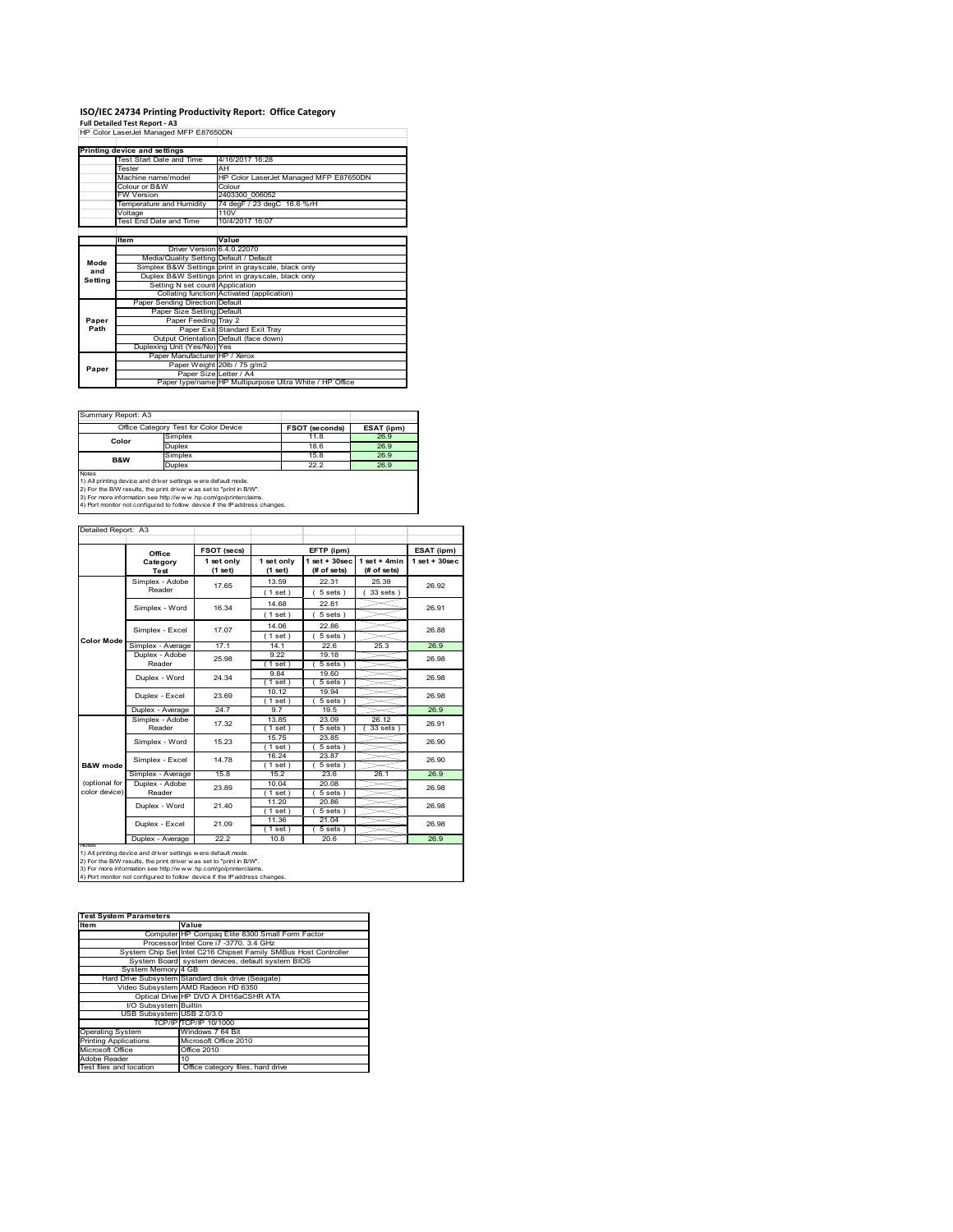# **ISO/IEC 24734 Printing Productivity Report: Office Category Full Detailed Test Report ‐ A3** HP Color LaserJet Managed MFP E87650DN

|         | Printing device and settings            |                                                         |  |
|---------|-----------------------------------------|---------------------------------------------------------|--|
|         | Test Start Date and Time                | 4/16/2017 16:28                                         |  |
|         | Tester                                  | AH                                                      |  |
|         | Machine name/model                      | HP Color LaserJet Managed MFP E87650DN                  |  |
|         | Colour or B&W                           | Colour                                                  |  |
|         | <b>FW Version</b>                       | 2403300 006052                                          |  |
|         | Temperature and Humidity                | 74 degF / 23 degC 16.6 %rH                              |  |
|         | Voltage                                 | 110V                                                    |  |
|         | Test End Date and Time                  | 10/4/2017 16:07                                         |  |
|         |                                         |                                                         |  |
|         | Item                                    | Value                                                   |  |
|         | Driver Version 6.4.0.22070              |                                                         |  |
| Mode    | Media/Quality Setting Default / Default |                                                         |  |
| and     |                                         | Simplex B&W Settings print in grayscale, black only     |  |
| Setting |                                         | Duplex B&W Settings print in grayscale, black only      |  |
|         | Setting N set count Application         |                                                         |  |
|         |                                         | Collating function Activated (application)              |  |
|         | Paper Sending Direction Default         |                                                         |  |
|         | Paper Size Setting Default              |                                                         |  |
| Paper   | Paper Feeding Tray 2                    |                                                         |  |
| Path    |                                         | Paper Exit Standard Exit Tray                           |  |
|         |                                         | Output Orientation Default (face down)                  |  |
|         | Duplexing Unit (Yes/No) Yes             |                                                         |  |
|         | Paper Manufacturer HP / Xerox           |                                                         |  |
| Paper   |                                         | Paper Weight 20lb / 75 g/m2                             |  |
|         | Paper Size Letter / A4                  |                                                         |  |
|         |                                         | Paper type/name HP Multipurpose Ultra White / HP Office |  |

Summary Report: A3

|                | Office Category Test for Color Device | <b>FSOT (seconds)</b> | ESAT (ipm) |
|----------------|---------------------------------------|-----------------------|------------|
| Color          | Simplex                               | 11.8                  | 26.9       |
|                | Duplex                                | 18.6                  | 26.9       |
| <b>B&amp;W</b> | Simplex                               | 15.8                  | 26.9       |
|                | Duplex                                | 22.2                  | 26.9       |
| Notes          |                                       |                       |            |

Notes<br>1) All printing device and driver settings w ere default mode.<br>2) For the B/W results, the print driver was set to "print in B/W".<br>3) For more information see http://www.hp.com/go/printerclaims.<br>4) Por more informati

|                   | FSOT (secs)                |                       |                         | ESAT (ipm)                                      |                               |                    |  |
|-------------------|----------------------------|-----------------------|-------------------------|-------------------------------------------------|-------------------------------|--------------------|--|
|                   | Office<br>Category<br>Test | 1 set only<br>(1 set) | 1 set only<br>$(1$ set) | EFTP (ipm)<br>$1$ set + $30$ sec<br>(# of sets) | $1$ set + 4min<br>(# of sets) | $1$ set + $30$ sec |  |
|                   | Simplex - Adobe            | 17.65                 | 13.59                   | 22.31                                           | 25.39                         | 26.92              |  |
|                   | Reader                     |                       | (1 set)                 | $5 sets$ )                                      | 33 sets                       |                    |  |
|                   | Simplex - Word             | 16.34                 | 14.68                   | 22.81                                           |                               | 26.91              |  |
|                   |                            |                       | (1 set)                 | $5 sets$ )                                      |                               |                    |  |
|                   | Simplex - Excel            | 17.07                 | 14.06                   | 22.86                                           |                               | 26.88              |  |
| <b>Color Mode</b> |                            |                       | (1 set)                 | 5 sets)                                         |                               |                    |  |
|                   | Simplex - Average          | 17.1                  | 14.1                    | 22.6                                            | 25.3                          | 26.9               |  |
|                   | Duplex - Adobe             | 25.98                 | 9.22                    | 19.18                                           |                               | 26.98              |  |
|                   | Reader                     |                       | $1$ set)                | 5 sets)                                         |                               |                    |  |
|                   | Duplex - Word              | 24.34                 | 9.84                    | 19.60                                           |                               | 26.98              |  |
|                   |                            |                       | (1 set)<br>10.12        | 5 sets)                                         |                               |                    |  |
|                   | Duplex - Excel             | 23.69                 | (1 set)                 | 19.94<br>5 sets)                                |                               | 26.98              |  |
|                   | Duplex - Average           | 24.7                  | 9.7                     | 19.5                                            |                               | 26.9               |  |
|                   | Simplex - Adobe            |                       | 13.85                   | 23.09                                           | 26.12                         |                    |  |
|                   | Reader                     | 17.32                 | (1 set)                 | 5 sets)                                         | $33 sets$ )                   | 26.91              |  |
|                   | Simplex - Word             | 15.23                 | 15.75                   | 23.85                                           |                               | 26.90              |  |
|                   |                            |                       | $1$ set)                | $5 sets$ )                                      |                               |                    |  |
|                   | Simplex - Excel            | 14.78                 | 16.24                   | 23.87                                           |                               | 26.90              |  |
| B&W mode          |                            |                       | $1$ set)                | $5 sets$ )                                      |                               |                    |  |
|                   | Simplex - Average          | 15.8                  | 15.2                    | 23.6                                            | 26.1                          | 26.9               |  |
| (optional for     | Duplex - Adobe             | 23.89                 | 10.04                   | 20.08                                           |                               | 26.98              |  |
| color device)     | Reader                     |                       | $1$ set)                | $5 sets$ )                                      |                               |                    |  |
|                   | Duplex - Word              | 21.40                 | 11.20                   | 20.86                                           |                               | 26.98              |  |
|                   |                            |                       | $1$ set $)$             | 5 sets)                                         |                               |                    |  |
|                   | Duplex - Excel             | 21.09                 | 11.36<br>$1$ set)       | 21.04<br>$5 sets$ )                             |                               | 26.98              |  |
|                   | Duplex - Average           | 22.2                  | 10.8                    | 20.6                                            |                               | 26.9               |  |

1) All printing device and driver settings w ere default mode.<br>2) For the B/W results, the print driver was set to "print in B/W".<br>3) For more information see http://www.hp.com/go/printerclaims.<br>4) Port monitor not configu

| <b>Test System Parameters</b> |                                                                 |  |  |  |
|-------------------------------|-----------------------------------------------------------------|--|--|--|
| Item                          | Value                                                           |  |  |  |
|                               | ComputerIHP Compag Elite 8300 Small Form Factor                 |  |  |  |
|                               | Processor Intel Core i7 -3770, 3.4 GHz                          |  |  |  |
|                               | System Chip Set Intel C216 Chipset Family SMBus Host Controller |  |  |  |
|                               | System Board system devices, default system BIOS                |  |  |  |
| System Memory 4 GB            |                                                                 |  |  |  |
|                               | Hard Drive Subsystem Standard disk drive (Seagate)              |  |  |  |
|                               | Video Subsystem AMD Radeon HD 6350                              |  |  |  |
|                               | Optical Drive HP DVD A DH16aCSHR ATA                            |  |  |  |
| I/O Subsystem Builtin         |                                                                 |  |  |  |
| USB Subsystem USB 2.0/3.0     |                                                                 |  |  |  |
|                               | TCP/IPITCP/IP 10/1000                                           |  |  |  |
| <b>Operating System</b>       | Windows 7 64 Bit                                                |  |  |  |
| <b>Printing Applications</b>  | Microsoft Office 2010                                           |  |  |  |
| Microsoft Office              | Office 2010                                                     |  |  |  |
| Adobe Reader                  | 10                                                              |  |  |  |
| Test files and location       | Office category files, hard drive                               |  |  |  |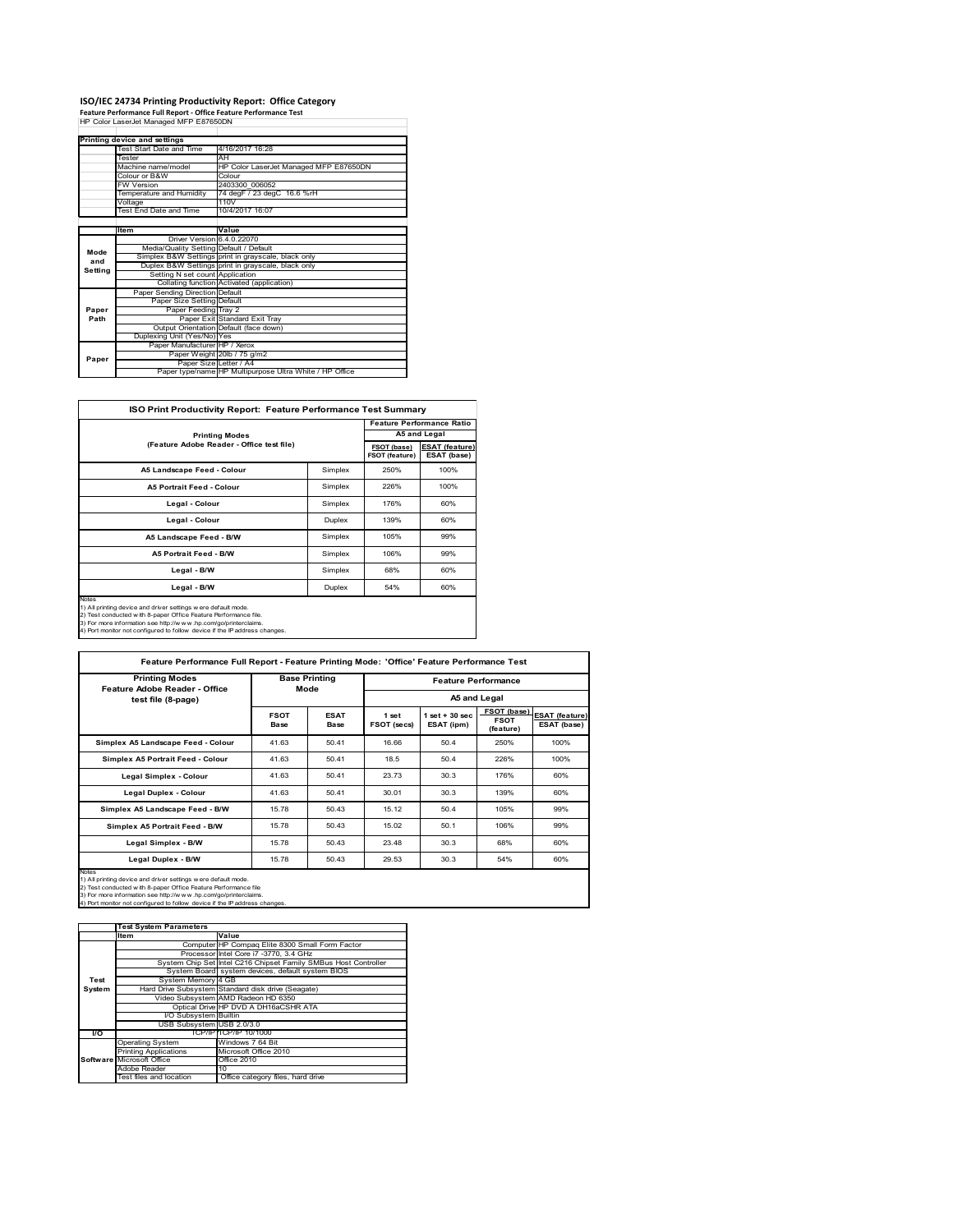# **ISO/IEC 24734 Printing Productivity Report: Office Category Feature Performance Full Report ‐ Office Feature Performance Test** HP Color LaserJet Managed MFP E87650DN

|         | טטושם וויו מספרומטומטיסטוסים וטוס       |                                                         |  |  |
|---------|-----------------------------------------|---------------------------------------------------------|--|--|
|         | Printing device and settings            |                                                         |  |  |
|         | Test Start Date and Time                | 4/16/2017 16:28                                         |  |  |
|         | Tester                                  | AH                                                      |  |  |
|         | Machine name/model                      | HP Color LaserJet Managed MFP E87650DN                  |  |  |
|         | Colour or B&W                           | Colour                                                  |  |  |
|         | <b>FW Version</b>                       | 2403300 006052                                          |  |  |
|         | Temperature and Humidity                | 74 degF / 23 degC 16.6 %rH                              |  |  |
|         | Voltage                                 | 110V                                                    |  |  |
|         | Test End Date and Time                  | 10/4/2017 16:07                                         |  |  |
|         |                                         |                                                         |  |  |
|         | <b>Item</b>                             | Value                                                   |  |  |
|         | Driver Version 6.4.0.22070              |                                                         |  |  |
| Mode    | Media/Quality Setting Default / Default |                                                         |  |  |
| and     |                                         | Simplex B&W Settings print in grayscale, black only     |  |  |
| Setting |                                         | Duplex B&W Settings print in grayscale, black only      |  |  |
|         | Setting N set count Application         |                                                         |  |  |
|         |                                         | Collating function Activated (application)              |  |  |
|         | Paper Sending Direction Default         |                                                         |  |  |
|         | Paper Size Setting Default              |                                                         |  |  |
| Paper   | Paper Feeding Tray 2                    |                                                         |  |  |
| Path    |                                         | Paper Exit Standard Exit Tray                           |  |  |
|         |                                         | Output Orientation Default (face down)                  |  |  |
|         | Duplexing Unit (Yes/No) Yes             |                                                         |  |  |
|         | Paper Manufacturer HP / Xerox           |                                                         |  |  |
| Paper   |                                         | Paper Weight 20lb / 75 g/m2                             |  |  |
|         | Paper Size Letter / A4                  |                                                         |  |  |
|         |                                         | Paper type/name HP Multipurpose Ultra White / HP Office |  |  |

| ISO Print Productivity Report: Feature Performance Test Summary                                                                                                                                                                                                                            |         |                               |                                      |  |  |
|--------------------------------------------------------------------------------------------------------------------------------------------------------------------------------------------------------------------------------------------------------------------------------------------|---------|-------------------------------|--------------------------------------|--|--|
|                                                                                                                                                                                                                                                                                            |         |                               | <b>Feature Performance Ratio</b>     |  |  |
| <b>Printing Modes</b>                                                                                                                                                                                                                                                                      |         | A5 and Legal                  |                                      |  |  |
| (Feature Adobe Reader - Office test file)                                                                                                                                                                                                                                                  |         | FSOT (base)<br>FSOT (feature) | <b>ESAT (feature)</b><br>ESAT (base) |  |  |
| A5 Landscape Feed - Colour                                                                                                                                                                                                                                                                 | Simplex | 250%                          | 100%                                 |  |  |
| <b>A5 Portrait Feed - Colour</b>                                                                                                                                                                                                                                                           | Simplex | 226%                          | 100%                                 |  |  |
| Legal - Colour                                                                                                                                                                                                                                                                             | Simplex | 176%                          | 60%                                  |  |  |
| Legal - Colour                                                                                                                                                                                                                                                                             | Duplex  | 139%                          | 60%                                  |  |  |
| A5 Landscape Feed - B/W                                                                                                                                                                                                                                                                    | Simplex | 105%                          | 99%                                  |  |  |
| <b>A5 Portrait Feed - B/W</b>                                                                                                                                                                                                                                                              | Simplex | 106%                          | 99%                                  |  |  |
| Legal - B/W                                                                                                                                                                                                                                                                                | Simplex | 68%                           | 60%                                  |  |  |
| Legal - B/W                                                                                                                                                                                                                                                                                | Duplex  | 54%                           | 60%                                  |  |  |
| Notes<br>1) All printing device and driver settings were default mode.<br>2) Test conducted with 8-paper Office Feature Performance file.<br>3) For more information see http://www.hp.com/go/printerclaims.<br>4) Port monitor not configured to follow device if the IP address changes. |         |                               |                                      |  |  |

| <b>FSOT</b><br>Base<br>41.63<br>41.63<br>41.63 | Mode<br><b>ESAT</b><br>Base<br>50.41<br>50.41<br>50.41 | 1 set<br>FSOT (secs)<br>16.66<br>18.5 | $1$ set $+30$ sec.<br>ESAT (ipm)<br>50.4<br>50.4 | A5 and Legal<br>FSOT (base)<br><b>FSOT</b><br>(feature)<br>250%<br>226% | <b>ESAT (feature)</b><br>ESAT (base)<br>100%<br>100% |
|------------------------------------------------|--------------------------------------------------------|---------------------------------------|--------------------------------------------------|-------------------------------------------------------------------------|------------------------------------------------------|
|                                                |                                                        |                                       |                                                  |                                                                         |                                                      |
|                                                |                                                        |                                       |                                                  |                                                                         |                                                      |
|                                                |                                                        |                                       |                                                  |                                                                         |                                                      |
|                                                |                                                        |                                       |                                                  |                                                                         |                                                      |
|                                                |                                                        | 23.73                                 | 30.3                                             | 176%                                                                    | 60%                                                  |
| 41.63                                          | 50.41                                                  | 30.01                                 | 30.3                                             | 139%                                                                    | 60%                                                  |
| 15.78                                          | 50.43                                                  | 15.12                                 | 50.4                                             | 105%                                                                    | 99%                                                  |
| 15.78                                          | 50.43                                                  | 15.02                                 | 50.1                                             | 106%                                                                    | 99%                                                  |
| 15.78                                          | 50.43                                                  | 23.48                                 | 30.3                                             | 68%                                                                     | 60%                                                  |
| 15.78                                          | 50.43                                                  | 29.53                                 | 30.3                                             | 54%                                                                     | 60%                                                  |
|                                                |                                                        |                                       |                                                  |                                                                         |                                                      |

|        | <b>Test System Parameters</b> |                                                                 |  |  |  |
|--------|-------------------------------|-----------------------------------------------------------------|--|--|--|
|        | <b>Item</b>                   | Value                                                           |  |  |  |
|        |                               | Computer HP Compaq Elite 8300 Small Form Factor                 |  |  |  |
|        |                               | Processor Intel Core i7 -3770, 3.4 GHz                          |  |  |  |
|        |                               | System Chip Set Intel C216 Chipset Family SMBus Host Controller |  |  |  |
|        |                               | System Board system devices, default system BIOS                |  |  |  |
| Test   | System Memory 4 GB            |                                                                 |  |  |  |
| System |                               | Hard Drive Subsystem Standard disk drive (Seagate)              |  |  |  |
|        |                               | Video Subsystem AMD Radeon HD 6350                              |  |  |  |
|        |                               | Optical Drive HP DVD A DH16aCSHR ATA                            |  |  |  |
|        | I/O Subsystem Builtin         |                                                                 |  |  |  |
|        | USB Subsystem USB 2.0/3.0     |                                                                 |  |  |  |
| I/O    |                               | TCP/IPITCP/IP 10/1000                                           |  |  |  |
|        | <b>Operating System</b>       | Windows 7 64 Bit                                                |  |  |  |
|        | <b>Printing Applications</b>  | Microsoft Office 2010                                           |  |  |  |
|        | Software Microsoft Office     | Office 2010                                                     |  |  |  |
|        | Adobe Reader                  | 10                                                              |  |  |  |
|        | Test files and location       | Office category files, hard drive                               |  |  |  |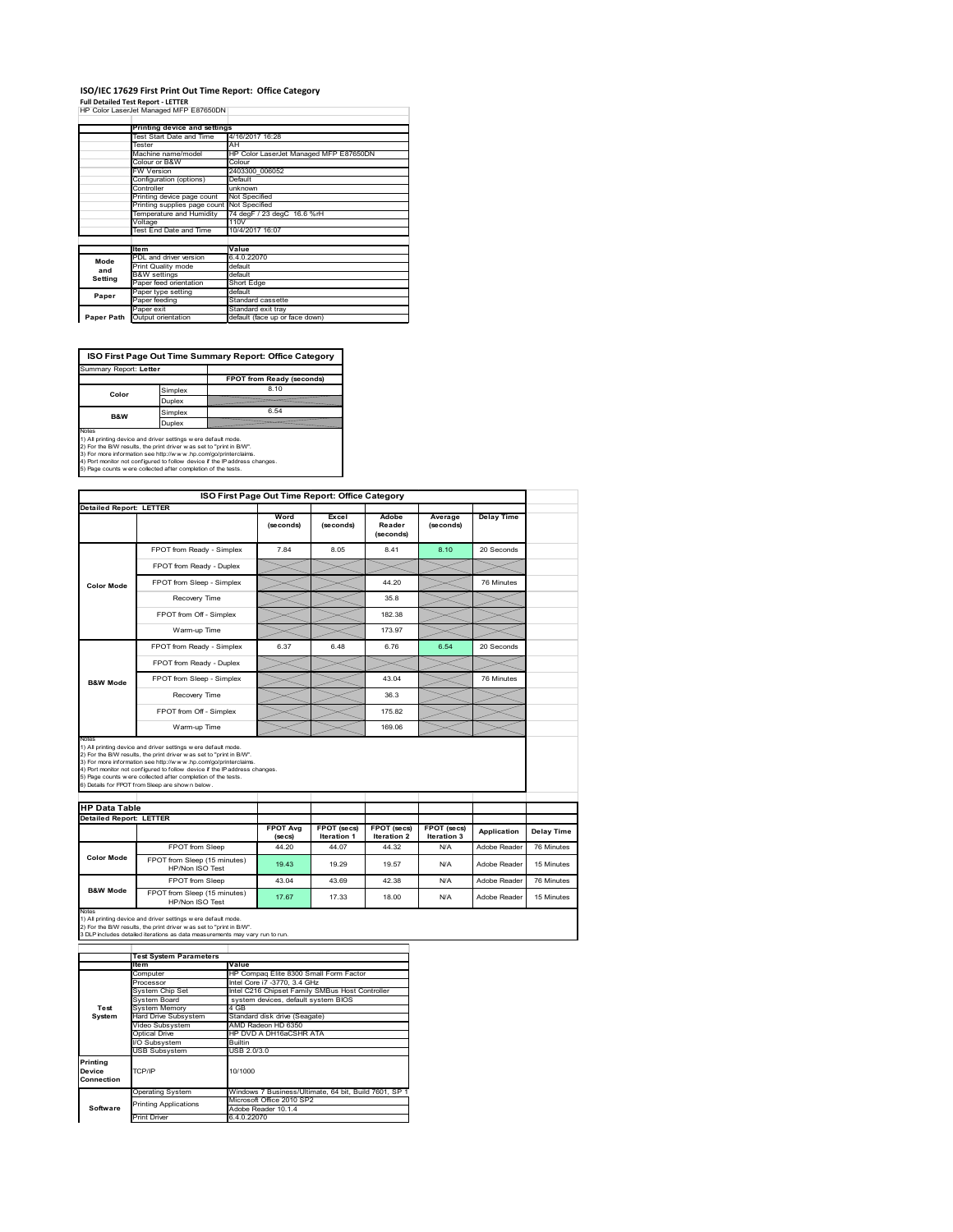### **ISO/IEC 17629 First Print Out Time Report: Office Category Full Detailed Test Report ‐ LETTER** HP Color LaserJet Managed MFP E87650DN

|            | Printing device and settings               |                                        |  |  |  |
|------------|--------------------------------------------|----------------------------------------|--|--|--|
|            | Test Start Date and Time                   | 4/16/2017 16:28                        |  |  |  |
|            | Tester                                     | AH                                     |  |  |  |
|            | Machine name/model                         | HP Color LaserJet Managed MFP E87650DN |  |  |  |
|            | Colour or B&W                              | Colour                                 |  |  |  |
|            | <b>FW Version</b>                          | 2403300 006052                         |  |  |  |
|            | Configuration (options)                    | Default<br>unknown<br>Not Specified    |  |  |  |
|            | Controller                                 |                                        |  |  |  |
|            | Printing device page count                 |                                        |  |  |  |
|            | Printing supplies page count Not Specified |                                        |  |  |  |
|            | Temperature and Humidity                   | 74 degF / 23 degC 16.6 %rH             |  |  |  |
|            | Voltage                                    | 110V                                   |  |  |  |
|            | Test End Date and Time                     | 10/4/2017 16:07                        |  |  |  |
|            |                                            |                                        |  |  |  |
|            | <b>Item</b>                                | Value                                  |  |  |  |
| Mode       | PDL and driver version                     | 6.4.0.22070                            |  |  |  |
| and        | Print Quality mode                         | default                                |  |  |  |
|            | <b>B&amp;W</b> settings                    | default                                |  |  |  |
| Setting    | Paper feed orientation                     | Short Edge                             |  |  |  |
| Paper      | Paper type setting                         | default                                |  |  |  |
|            | Paper feeding                              | Standard cassette                      |  |  |  |
|            | Paper exit                                 | Standard exit tray                     |  |  |  |
| Paper Path | Output orientation                         | default (face up or face down)         |  |  |  |

**ISO First Page Out Time Summary Report: Office Category**

| Summary Report: Letter                                              |         |                                                                            |
|---------------------------------------------------------------------|---------|----------------------------------------------------------------------------|
|                                                                     |         | FPOT from Ready (seconds)                                                  |
| Color                                                               | Simplex | 8.10                                                                       |
|                                                                     | Duplex  |                                                                            |
| <b>B&amp;W</b>                                                      | Simplex | 6.54                                                                       |
|                                                                     | Duplex  |                                                                            |
| Notes                                                               |         |                                                                            |
| 1) All printing device and driver settings w ere default mode.      |         |                                                                            |
| 2) For the B/W results, the print driver was set to "print in B/W". |         |                                                                            |
| 3) For more information see http://www.hp.com/go/printerclaims.     |         |                                                                            |
|                                                                     |         | 4) Port monitor not configured to follow device if the IP address changes. |
| 5) Page counts w ere collected after completion of the tests.       |         |                                                                            |

|                                |                                                                                                                                                                                                                                                                                                                                                                                                             |                            | ISO First Page Out Time Report: Office Category |                                   |                            |                   |
|--------------------------------|-------------------------------------------------------------------------------------------------------------------------------------------------------------------------------------------------------------------------------------------------------------------------------------------------------------------------------------------------------------------------------------------------------------|----------------------------|-------------------------------------------------|-----------------------------------|----------------------------|-------------------|
| <b>Detailed Report: LETTER</b> |                                                                                                                                                                                                                                                                                                                                                                                                             | Word<br>(seconds)          | Excel<br>(seconds)                              | Adobe<br>Reader<br>(seconds)      | Average<br>(seconds)       | <b>Delay Time</b> |
|                                | FPOT from Ready - Simplex                                                                                                                                                                                                                                                                                                                                                                                   | 7.84                       | 8.05                                            | 8.41                              | 8.10                       | 20 Seconds        |
|                                | FPOT from Ready - Duplex                                                                                                                                                                                                                                                                                                                                                                                    |                            |                                                 |                                   |                            |                   |
| <b>Color Mode</b>              | FPOT from Sleep - Simplex                                                                                                                                                                                                                                                                                                                                                                                   |                            |                                                 | 44.20                             |                            | 76 Minutes        |
|                                | Recovery Time                                                                                                                                                                                                                                                                                                                                                                                               |                            |                                                 | 35.8                              |                            |                   |
|                                | FPOT from Off - Simplex                                                                                                                                                                                                                                                                                                                                                                                     |                            |                                                 | 182.38                            |                            |                   |
|                                | Warm-up Time                                                                                                                                                                                                                                                                                                                                                                                                |                            |                                                 | 173.97                            |                            |                   |
|                                | FPOT from Ready - Simplex                                                                                                                                                                                                                                                                                                                                                                                   | 6.37                       | 6.48                                            | 6.76                              | 6.54                       | 20 Seconds        |
|                                | FPOT from Ready - Duplex                                                                                                                                                                                                                                                                                                                                                                                    |                            |                                                 |                                   |                            |                   |
| <b>B&amp;W Mode</b>            | FPOT from Sleep - Simplex                                                                                                                                                                                                                                                                                                                                                                                   |                            |                                                 | 43.04                             |                            | 76 Minutes        |
|                                |                                                                                                                                                                                                                                                                                                                                                                                                             |                            |                                                 | 36.3                              |                            |                   |
|                                | Recovery Time                                                                                                                                                                                                                                                                                                                                                                                               |                            |                                                 |                                   |                            |                   |
|                                | FPOT from Off - Simplex                                                                                                                                                                                                                                                                                                                                                                                     |                            |                                                 | 175.82                            |                            |                   |
| Notes                          | Warm-up Time                                                                                                                                                                                                                                                                                                                                                                                                |                            |                                                 | 169.06                            |                            |                   |
| <b>HP Data Table</b>           | 1) All printing device and driver settings w ere default mode.<br>2) For the B/W results, the print driver was set to "print in B/W".<br>3) For more information see http://www.hp.com/go/printerclaims.<br>4) Port monitor not configured to follow device if the IP address changes.<br>5) Page counts w ere collected after completion of the tests.<br>6) Details for FPOT from Sleep are show n below. |                            |                                                 |                                   |                            |                   |
|                                |                                                                                                                                                                                                                                                                                                                                                                                                             |                            |                                                 |                                   |                            |                   |
| <b>Detailed Report: LETTER</b> |                                                                                                                                                                                                                                                                                                                                                                                                             | <b>FPOT Avg</b><br>(se cs) | FPOT (secs)<br><b>Iteration 1</b>               | FPOT (secs)<br><b>Iteration 2</b> | FPOT (secs)<br>Iteration 3 | Application       |
|                                | FPOT from Sleep                                                                                                                                                                                                                                                                                                                                                                                             | 44.20                      | 44.07                                           | 44.32                             | N/A                        | Adobe Reader      |
| <b>Color Mode</b>              | FPOT from Sleep (15 minutes)<br>HP/Non ISO Test                                                                                                                                                                                                                                                                                                                                                             | 19.43                      | 19.29                                           | 19.57                             | N/A                        | Adobe Reader      |
| <b>B&amp;W Mode</b>            | FPOT from Sleep                                                                                                                                                                                                                                                                                                                                                                                             | 43.04                      | 43.69                                           | 42.38                             | N/A                        | Adobe Reader      |

Notes<br>1) All printing device and driver settings w ere default mode.<br>2) For the B/W results, the print driver w as set to "print in B/W".<br>3 DLP includes detailed iterations as data measurements may vary run to run.

|            | <b>Test System Parameters</b> |                                                       |  |  |  |  |
|------------|-------------------------------|-------------------------------------------------------|--|--|--|--|
|            | lte m                         | Value                                                 |  |  |  |  |
|            | Computer                      | HP Compag Elite 8300 Small Form Factor                |  |  |  |  |
|            | Processor                     | Intel Core i7 -3770, 3.4 GHz                          |  |  |  |  |
|            | System Chip Set               | Intel C216 Chipset Family SMBus Host Controller       |  |  |  |  |
|            | System Board                  | system devices, default system BIOS                   |  |  |  |  |
| Test       | <b>System Memory</b>          | 4 GB                                                  |  |  |  |  |
| System     | <b>Hard Drive Subsystem</b>   | Standard disk drive (Seagate)                         |  |  |  |  |
|            | Video Subsystem               | AMD Radeon HD 6350                                    |  |  |  |  |
|            | Optical Drive                 | HP DVD A DH16aCSHR ATA                                |  |  |  |  |
|            | I/O Subsystem                 | Builtin                                               |  |  |  |  |
|            | <b>USB Subsystem</b>          | USB 2.0/3.0                                           |  |  |  |  |
| Printing   |                               |                                                       |  |  |  |  |
| Device     | TCP/IP                        | 10/1000                                               |  |  |  |  |
| Connection |                               |                                                       |  |  |  |  |
|            | <b>Operating System</b>       | Windows 7 Business/Ultimate, 64 bit, Build 7601, SP 1 |  |  |  |  |
|            | <b>Printing Applications</b>  | Microsoft Office 2010 SP2                             |  |  |  |  |
| Software   |                               | Adobe Reader 10.1.4                                   |  |  |  |  |
|            | <b>Print Driver</b>           | 6.4.0.22070                                           |  |  |  |  |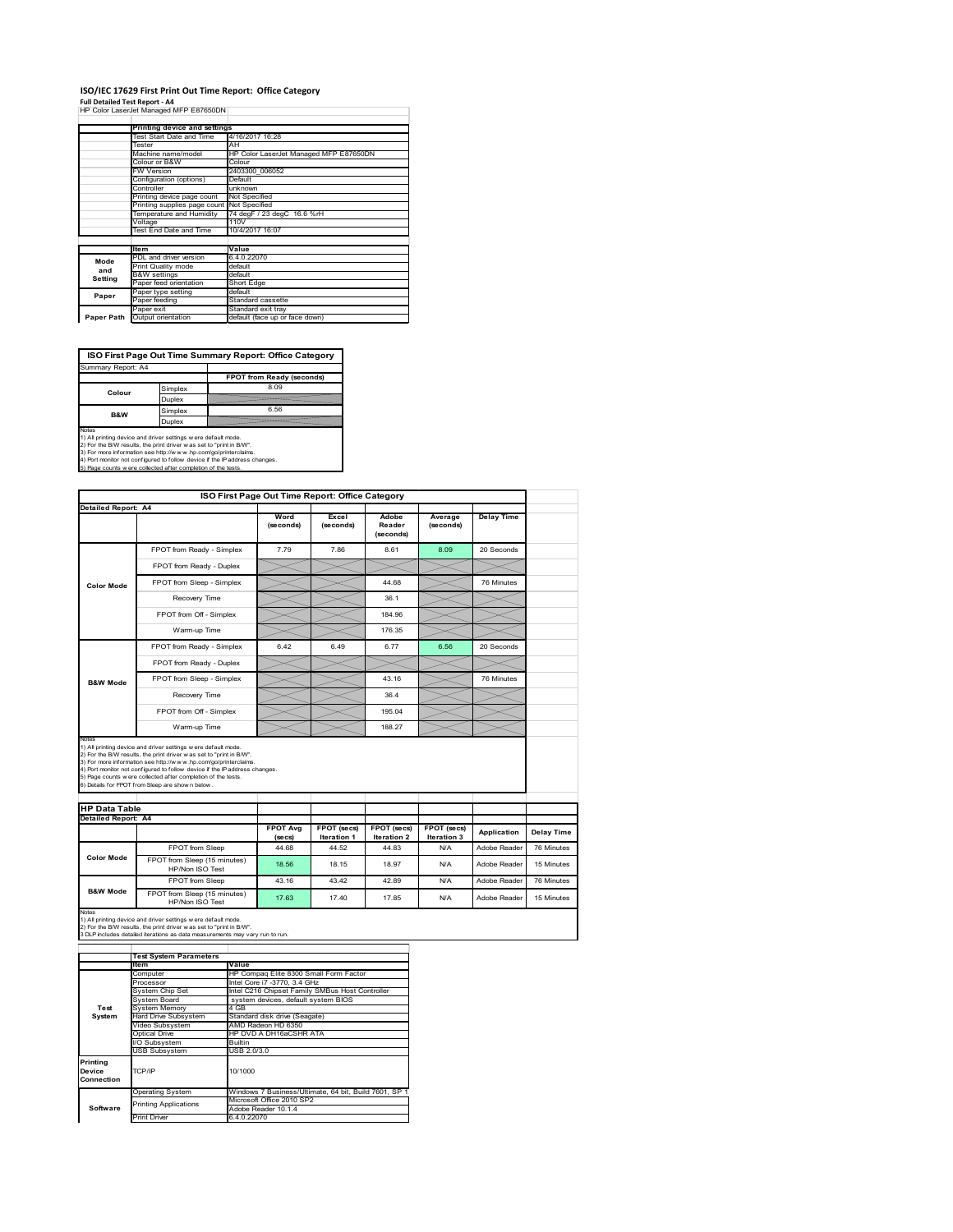# **ISO/IEC 17629 First Print Out Time Report: Office Category**

**Full Detailed Test Report ‐ A4** HP Color LaserJet Managed MFP E87650DN

|            | Printing device and settings               |                                        |  |  |  |
|------------|--------------------------------------------|----------------------------------------|--|--|--|
|            | Test Start Date and Time                   | 4/16/2017 16:28                        |  |  |  |
|            | Tester                                     | AH                                     |  |  |  |
|            | Machine name/model                         | HP Color LaserJet Managed MFP E87650DN |  |  |  |
|            | Colour or B&W                              | Colour                                 |  |  |  |
|            | FW Version                                 | 2403300 006052                         |  |  |  |
|            | Configuration (options)                    | Default                                |  |  |  |
|            | Controller                                 | unknown                                |  |  |  |
|            | Printing device page count                 | Not Specified                          |  |  |  |
|            | Printing supplies page count Not Specified |                                        |  |  |  |
|            | Temperature and Humidity                   | 74 degF / 23 degC 16.6 %rH             |  |  |  |
|            | Voltage                                    | 110V                                   |  |  |  |
|            | Test End Date and Time                     | 10/4/2017 16:07                        |  |  |  |
|            |                                            |                                        |  |  |  |
|            | <b>Item</b>                                | Value                                  |  |  |  |
| Mode       | PDL and driver version                     | 6.4.0.22070                            |  |  |  |
| and        | Print Quality mode                         | default                                |  |  |  |
| Setting    | <b>B&amp;W</b> settings                    | default                                |  |  |  |
|            | Paper feed orientation                     | Short Edge                             |  |  |  |
| Paper      | Paper type setting                         | default                                |  |  |  |
|            | Paper feeding                              | Standard cassette                      |  |  |  |
|            | Paper exit                                 | Standard exit tray                     |  |  |  |
| Paper Path | Output orientation                         | default (face up or face down)         |  |  |  |

**ISO First Page Out Time Summary Report: Office Category**

| Summary Report: A4 |         |                           |
|--------------------|---------|---------------------------|
|                    |         | FPOT from Ready (seconds) |
| Colour             | Simplex | 8.09                      |
|                    | Duplex  |                           |
| B&W                | Simplex | 6.56                      |
| Duplex             |         |                           |
|                    |         |                           |

Notes<br>1) All printing device and driver settings were default mode.<br>2) For the BAV results, the print driver was set to "print in BAV".<br>3) For more information see http://www.hp.com/golprinterclaims.<br>4) Port monitor not co

|                            |                                                                                                                                                                                                                                                                                                                                                                                                              | ISO First Page Out Time Report: Office Category |                                          |                                   |                            |                   |                          |  |  |
|----------------------------|--------------------------------------------------------------------------------------------------------------------------------------------------------------------------------------------------------------------------------------------------------------------------------------------------------------------------------------------------------------------------------------------------------------|-------------------------------------------------|------------------------------------------|-----------------------------------|----------------------------|-------------------|--------------------------|--|--|
| <b>Detailed Report: A4</b> |                                                                                                                                                                                                                                                                                                                                                                                                              | Word<br>(seconds)                               | Excel<br>(seconds)                       | Adobe<br>Reader<br>(seconds)      | Average<br>(seconds)       | <b>Delay Time</b> |                          |  |  |
|                            | FPOT from Ready - Simplex                                                                                                                                                                                                                                                                                                                                                                                    | 7.79                                            | 7.86                                     | 8.61                              | 8.09                       | 20 Seconds        |                          |  |  |
|                            | FPOT from Ready - Duplex                                                                                                                                                                                                                                                                                                                                                                                     |                                                 |                                          |                                   |                            |                   |                          |  |  |
| <b>Color Mode</b>          | FPOT from Sleep - Simplex                                                                                                                                                                                                                                                                                                                                                                                    |                                                 |                                          | 44.68                             |                            | 76 Minutes        |                          |  |  |
|                            | Recovery Time                                                                                                                                                                                                                                                                                                                                                                                                |                                                 |                                          | 36.1                              |                            |                   |                          |  |  |
|                            | FPOT from Off - Simplex                                                                                                                                                                                                                                                                                                                                                                                      |                                                 |                                          | 184 96                            |                            |                   |                          |  |  |
|                            | Warm-up Time                                                                                                                                                                                                                                                                                                                                                                                                 |                                                 |                                          | 176.35                            |                            |                   |                          |  |  |
|                            | FPOT from Ready - Simplex                                                                                                                                                                                                                                                                                                                                                                                    | 6.42                                            | 6.49                                     | 6.77                              | 6.56                       | 20 Seconds        |                          |  |  |
|                            | FPOT from Ready - Duplex                                                                                                                                                                                                                                                                                                                                                                                     |                                                 |                                          |                                   |                            |                   |                          |  |  |
| <b>B&amp;W Mode</b>        | FPOT from Sleep - Simplex                                                                                                                                                                                                                                                                                                                                                                                    |                                                 |                                          | 43.16                             |                            | 76 Minutes        |                          |  |  |
|                            | Recovery Time                                                                                                                                                                                                                                                                                                                                                                                                |                                                 |                                          | 36.4                              |                            |                   |                          |  |  |
|                            |                                                                                                                                                                                                                                                                                                                                                                                                              |                                                 |                                          |                                   |                            |                   |                          |  |  |
|                            | FPOT from Off - Simplex                                                                                                                                                                                                                                                                                                                                                                                      |                                                 |                                          | 195.04                            |                            |                   |                          |  |  |
| Notes                      | Warm-up Time                                                                                                                                                                                                                                                                                                                                                                                                 |                                                 |                                          | 188.27                            |                            |                   |                          |  |  |
| <b>HP Data Table</b>       | 1) All printing device and driver settings w ere default mode.<br>2) For the B/W results, the print driver w as set to "print in B/W".<br>3) For more information see http://www.hp.com/go/printerclaims.<br>4) Port monitor not configured to follow device if the IP address changes.<br>5) Page counts w ere collected after completion of the tests.<br>6) Details for FPOT from Sleep are show n below. |                                                 |                                          |                                   |                            |                   |                          |  |  |
| <b>Detailed Report: A4</b> |                                                                                                                                                                                                                                                                                                                                                                                                              |                                                 |                                          |                                   |                            |                   |                          |  |  |
|                            |                                                                                                                                                                                                                                                                                                                                                                                                              | <b>FPOT Avg</b><br>(se cs)                      | <b>FPOT</b> (secs)<br><b>Iteration 1</b> | FPOT (secs)<br><b>Iteration 2</b> | FPOT (secs)<br>Iteration 3 | Application       |                          |  |  |
|                            | FPOT from Sleep                                                                                                                                                                                                                                                                                                                                                                                              | 44.68                                           | 44.52                                    | 44.83                             | N/A                        | Adobe Reader      | Delay Time<br>76 Minutes |  |  |
| <b>Color Mode</b>          | FPOT from Sleep (15 minutes)<br>HP/Non ISO Test                                                                                                                                                                                                                                                                                                                                                              | 18.56                                           | 18.15                                    | 18.97                             | N/A                        | Adobe Reader      | 15 Minutes               |  |  |
| <b>B&amp;W Mode</b>        | FPOT from Sleep                                                                                                                                                                                                                                                                                                                                                                                              | 43.16                                           | 43.42                                    | 42.89                             | N/A                        | Adobe Reader      | 76 Minutes               |  |  |

1) All printing device and driver settings w ere default mode.<br>2) For the B/W results, the print driver w as set to "print in B/W".<br>3 DLP includes detailed iterations as data measurements may vary run to run.

|            | <b>Test System Parameters</b> |                                                       |  |
|------------|-------------------------------|-------------------------------------------------------|--|
|            | lte m                         | Value                                                 |  |
|            | Computer                      | HP Compag Elite 8300 Small Form Factor                |  |
|            | Processor                     | Intel Core i7 -3770, 3.4 GHz                          |  |
|            | System Chip Set               | Intel C216 Chipset Family SMBus Host Controller       |  |
|            | System Board                  | system devices, default system BIOS                   |  |
| Test       | <b>System Memory</b>          | 4 GB                                                  |  |
| System     | <b>Hard Drive Subsystem</b>   | Standard disk drive (Seagate)                         |  |
|            | Video Subsystem               | AMD Radeon HD 6350                                    |  |
|            | Optical Drive                 | HP DVD A DH16aCSHR ATA                                |  |
|            | I/O Subsystem                 | <b>Builtin</b>                                        |  |
|            | <b>USB Subsystem</b>          | USB 2.0/3.0                                           |  |
| Printing   |                               |                                                       |  |
| Device     | TCP/IP                        | 10/1000                                               |  |
| Connection |                               |                                                       |  |
|            | <b>Operating System</b>       | Windows 7 Business/Ultimate, 64 bit, Build 7601, SP 1 |  |
|            | <b>Printing Applications</b>  | Microsoft Office 2010 SP2                             |  |
| Software   |                               | Adobe Reader 10.1.4                                   |  |
|            | <b>Print Driver</b>           | 6.4.0.22070                                           |  |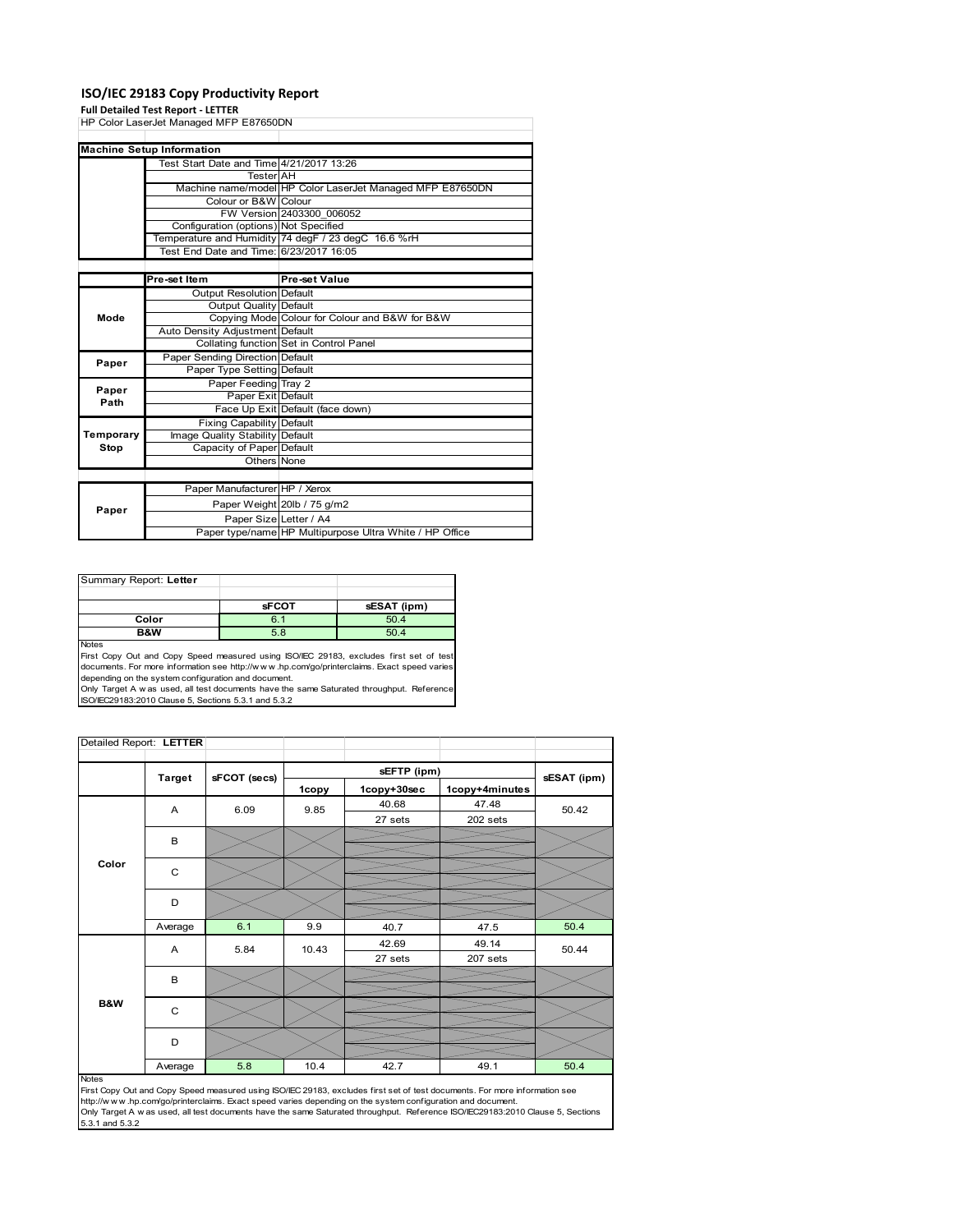### **ISO/IEC 29183 Copy Productivity Report**

### **Full Detailed Test Report ‐ LETTER**

|           | HP Color LaserJet Managed MFP E87650DN   |                                                           |
|-----------|------------------------------------------|-----------------------------------------------------------|
|           |                                          |                                                           |
|           | <b>Machine Setup Information</b>         |                                                           |
|           | Test Start Date and Time 4/21/2017 13:26 |                                                           |
|           | <b>Tester</b> AH                         |                                                           |
|           |                                          | Machine name/model HP Color LaserJet Managed MFP E87650DN |
|           | Colour or B&W Colour                     |                                                           |
|           |                                          | FW Version 2403300 006052                                 |
|           | Configuration (options) Not Specified    |                                                           |
|           |                                          | Temperature and Humidity 74 degF / 23 degC 16.6 %rH       |
|           | Test End Date and Time: 6/23/2017 16:05  |                                                           |
|           |                                          |                                                           |
|           | Pre-set Item                             | Pre-set Value                                             |
|           | Output Resolution Default                |                                                           |
|           | Output Quality Default                   |                                                           |
| Mode      |                                          | Copying Mode Colour for Colour and B&W for B&W            |
|           | Auto Density Adjustment Default          |                                                           |
|           |                                          | Collating function Set in Control Panel                   |
| Paper     | Paper Sending Direction Default          |                                                           |
|           | Paper Type Setting Default               |                                                           |
| Paper     | Paper Feeding Tray 2                     |                                                           |
| Path      | Paper Exit Default                       |                                                           |
|           |                                          | Face Up Exit Default (face down)                          |
|           | <b>Fixing Capability Default</b>         |                                                           |
| Temporary | Image Quality Stability Default          |                                                           |
| Stop      | Capacity of Paper Default                |                                                           |
|           | Others None                              |                                                           |
|           |                                          |                                                           |
|           | Paper Manufacturer HP / Xerox            |                                                           |
| Paper     |                                          | Paper Weight 20lb / 75 g/m2                               |
|           | Paper Size Letter / A4                   |                                                           |
|           |                                          | Paper type/name HP Multipurpose Ultra White / HP Office   |

| Summary Report: Letter |              |             |
|------------------------|--------------|-------------|
|                        |              |             |
|                        | <b>sFCOT</b> | sESAT (ipm) |
| Color                  | 6.1          | 50.4        |
| B&W                    | 5.8          | 50.4        |
| <b>Nickon</b>          |              |             |

Notes<br>First Copy Out and Copy Speed measured using ISO/IEC 29183, excludes first set of test<br>documents. For more information see http://www..hp.com/go/printerclaims. Exact speed varies

depending on the system configuration and document.<br>Only Target A w as used, all test documents have the same Saturated throughput. Reference<br>ISO/IEC29183:2010 Clause 5, Sections 5.3.1 and 5.3.2

| Detailed Report: LETTER |               |              |       |             |                |             |
|-------------------------|---------------|--------------|-------|-------------|----------------|-------------|
|                         | <b>Target</b> | sFCOT (secs) |       | sEFTP (ipm) |                |             |
|                         |               |              | 1copy | 1copy+30sec | 1copy+4minutes | sESAT (ipm) |
|                         | A             | 6.09         | 9.85  | 40.68       | 47.48          | 50.42       |
|                         |               |              |       | 27 sets     | 202 sets       |             |
|                         | B             |              |       |             |                |             |
|                         |               |              |       |             |                |             |
| Color                   | C             |              |       |             |                |             |
|                         | D             |              |       |             |                |             |
|                         |               |              |       |             |                |             |
|                         | Average       | 6.1          | 9.9   | 40.7        | 47.5           | 50.4        |
|                         | A             | 5.84         | 10.43 | 42.69       | 49.14          | 50.44       |
|                         |               |              |       | 27 sets     | 207 sets       |             |
|                         | B             |              |       |             |                |             |
| B&W                     | C             |              |       |             |                |             |
|                         | D             |              |       |             |                |             |
|                         | Average       | 5.8          | 10.4  | 42.7        | 49.1           | 50.4        |

#### Notes

First Copy Out and Copy Speed measured using ISO/IEC 29183, excludes first set of test documents. For more information see<br>http://w w w.hp.com/go/printerclaims. Exact speed varies depending on the system configuration and 5.3.1 and 5.3.2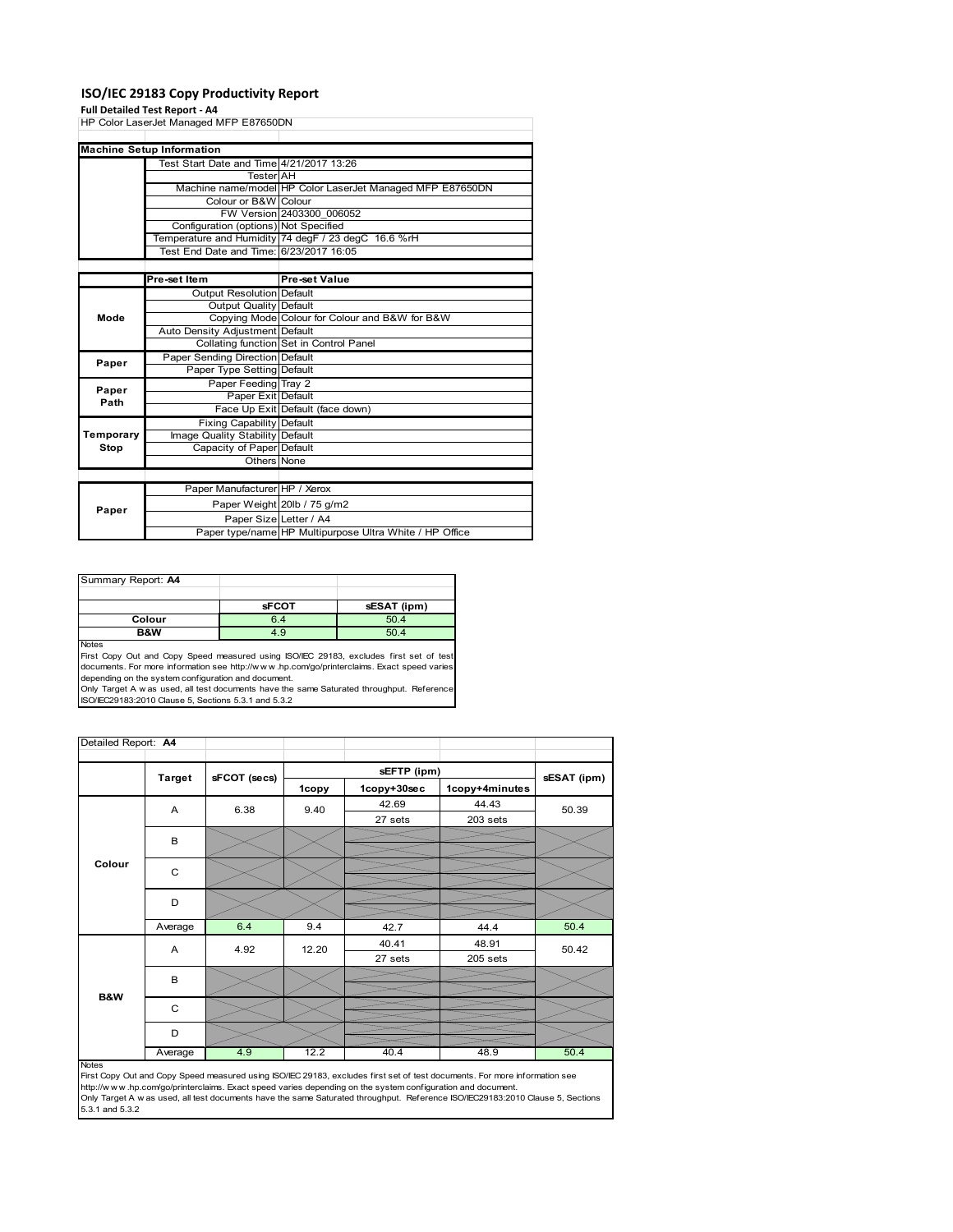### **ISO/IEC 29183 Copy Productivity Report**

### **Full Detailed Test Report ‐ A4**

| HP Color LaserJet Managed MFP E87650DN |                                          |                                                           |  |
|----------------------------------------|------------------------------------------|-----------------------------------------------------------|--|
|                                        |                                          |                                                           |  |
|                                        | <b>Machine Setup Information</b>         |                                                           |  |
|                                        | Test Start Date and Time 4/21/2017 13:26 |                                                           |  |
|                                        | <b>Tester</b> AH                         |                                                           |  |
|                                        |                                          | Machine name/model HP Color LaserJet Managed MFP E87650DN |  |
|                                        | Colour or B&W Colour                     |                                                           |  |
|                                        |                                          | FW Version 2403300 006052                                 |  |
|                                        | Configuration (options) Not Specified    |                                                           |  |
|                                        |                                          | Temperature and Humidity 74 degF / 23 degC 16.6 %rH       |  |
|                                        | Test End Date and Time: 6/23/2017 16:05  |                                                           |  |
|                                        |                                          |                                                           |  |
|                                        | Pre-set Item                             | <b>Pre-set Value</b>                                      |  |
|                                        | Output Resolution Default                |                                                           |  |
|                                        | Output Quality Default                   |                                                           |  |
| Mode                                   |                                          | Copying Mode Colour for Colour and B&W for B&W            |  |
|                                        | Auto Density Adjustment Default          |                                                           |  |
|                                        |                                          | Collating function Set in Control Panel                   |  |
| Paper                                  | Paper Sending Direction Default          |                                                           |  |
|                                        | Paper Type Setting Default               |                                                           |  |
| Paper                                  | Paper Feeding Tray 2                     |                                                           |  |
| Path                                   | Paper Exit Default                       |                                                           |  |
|                                        |                                          | Face Up Exit Default (face down)                          |  |
|                                        | <b>Fixing Capability Default</b>         |                                                           |  |
| Temporary                              | Image Quality Stability Default          |                                                           |  |
| Stop                                   | Capacity of Paper Default                |                                                           |  |
|                                        | Others None                              |                                                           |  |
|                                        |                                          |                                                           |  |
|                                        | Paper Manufacturer HP / Xerox            |                                                           |  |
|                                        |                                          | Paper Weight 20lb / 75 g/m2                               |  |
| Paper                                  | Paper Size Letter / A4                   |                                                           |  |
|                                        |                                          | Paper type/name HP Multipurpose Ultra White / HP Office   |  |

| Summary Report: A4 |              |             |
|--------------------|--------------|-------------|
|                    |              |             |
|                    | <b>sFCOT</b> | sESAT (ipm) |
| Colour             | 6.4          | 50.4        |
| <b>B&amp;W</b>     | 4.9          | 50.4        |
| <b>Nickon</b>      |              |             |

Notes<br>First Copy Out and Copy Speed measured using ISO/IEC 29183, excludes first set of test<br>documents. For more information see http://www..hp.com/go/printerclaims. Exact speed varies

depending on the system configuration and document.<br>Only Target A w as used, all test documents have the same Saturated throughput. Reference<br>ISO/IEC29183:2010 Clause 5, Sections 5.3.1 and 5.3.2

| Detailed Report: A4 |               |              |       |             |                |             |
|---------------------|---------------|--------------|-------|-------------|----------------|-------------|
|                     | <b>Target</b> | sFCOT (secs) |       | sEFTP (ipm) |                |             |
|                     |               |              | 1copy | 1copy+30sec | 1copy+4minutes | sESAT (ipm) |
|                     | A             | 6.38         | 9.40  | 42.69       | 44.43          | 50.39       |
|                     |               |              |       | 27 sets     | 203 sets       |             |
|                     | B             |              |       |             |                |             |
| Colour              | C             |              |       |             |                |             |
|                     | D             |              |       |             |                |             |
|                     | Average       | 6.4          | 9.4   | 42.7        | 44.4           | 50.4        |
|                     | Α             | 4.92         | 12.20 | 40.41       | 48.91          | 50.42       |
|                     |               |              |       | 27 sets     | 205 sets       |             |
|                     | B             |              |       |             |                |             |
| <b>B&amp;W</b>      |               |              |       |             |                |             |
|                     | C             |              |       |             |                |             |
|                     | D             |              |       |             |                |             |
|                     | Average       | 4.9          | 12.2  | 40.4        | 48.9           | 50.4        |

http://w.w.w..hp.com/go/printerclaims. Exact speed varies depending on the system configuration and document.<br>Only Target A w as used, all test documents have the same Saturated throughput. Reference ISO/IEC29183:2010 Cla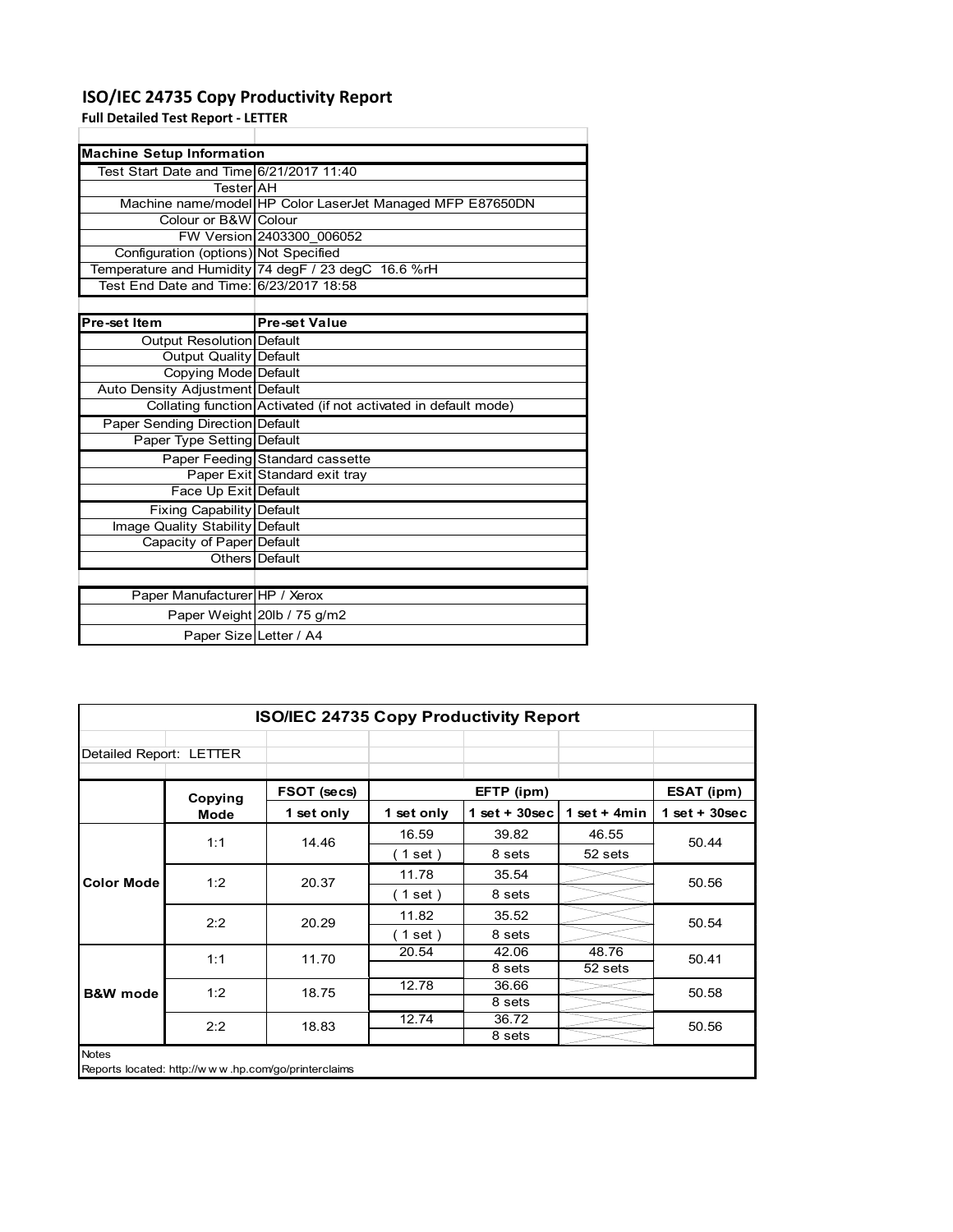# **ISO/IEC 24735 Copy Productivity Report**

**Full Detailed Test Report ‐ LETTER**

| <b>Machine Setup Information</b>         |                                                                 |
|------------------------------------------|-----------------------------------------------------------------|
| Test Start Date and Time 6/21/2017 11:40 |                                                                 |
| TesterlAH                                |                                                                 |
|                                          | Machine name/model HP Color LaserJet Managed MFP E87650DN       |
| Colour or B&W Colour                     |                                                                 |
|                                          | FW Version 2403300 006052                                       |
| Configuration (options) Not Specified    |                                                                 |
|                                          | Temperature and Humidity 74 degF / 23 degC 16.6 %rH             |
| Test End Date and Time: 6/23/2017 18:58  |                                                                 |
|                                          |                                                                 |
| Pre-set Item                             | <b>Pre-set Value</b>                                            |
| Output Resolution Default                |                                                                 |
| <b>Output Quality Default</b>            |                                                                 |
| Copying Mode Default                     |                                                                 |
| Auto Density Adjustment Default          |                                                                 |
|                                          | Collating function Activated (if not activated in default mode) |
| Paper Sending Direction Default          |                                                                 |
| Paper Type Setting Default               |                                                                 |
|                                          | Paper Feeding Standard cassette                                 |
|                                          | Paper Exit Standard exit tray                                   |
| Face Up Exit Default                     |                                                                 |
| <b>Fixing Capability Default</b>         |                                                                 |
| Image Quality Stability Default          |                                                                 |
| Capacity of Paper Default                |                                                                 |
|                                          | Others Default                                                  |
|                                          |                                                                 |
| Paper Manufacturer HP / Xerox            |                                                                 |
|                                          | Paper Weight 20lb / 75 g/m2                                     |
| Paper Size Letter / A4                   |                                                                 |

| <b>ISO/IEC 24735 Copy Productivity Report</b> |                                                     |             |            |                  |                 |                 |  |
|-----------------------------------------------|-----------------------------------------------------|-------------|------------|------------------|-----------------|-----------------|--|
| Detailed Report: LETTER                       |                                                     |             |            |                  |                 |                 |  |
|                                               | Copying                                             | FSOT (secs) |            | EFTP (ipm)       |                 | ESAT (ipm)      |  |
|                                               | <b>Mode</b>                                         | 1 set only  | 1 set only | 1 set + $30$ sec | 1 set $+$ 4 min | $1$ set + 30sec |  |
|                                               | 1:1                                                 | 14.46       | 16.59      | 39.82            | 46.55           | 50.44           |  |
|                                               |                                                     |             | (1 set)    | 8 sets           | 52 sets         |                 |  |
| <b>Color Mode</b>                             | 1:2                                                 | 20.37       | 11.78      | 35.54            |                 | 50.56           |  |
|                                               |                                                     |             | (1 set)    | 8 sets           |                 |                 |  |
|                                               | 2:2                                                 | 20.29       | 11.82      | 35.52            |                 | 50.54           |  |
|                                               |                                                     |             | (1 set)    | 8 sets           |                 |                 |  |
|                                               | 1:1                                                 | 11.70       | 20.54      | 42.06            | 48.76           | 50.41           |  |
|                                               |                                                     |             |            | 8 sets           | 52 sets         |                 |  |
| <b>B&amp;W</b> mode                           | 1:2                                                 | 18.75       | 12.78      | 36.66            |                 | 50.58           |  |
|                                               |                                                     |             |            | 8 sets           |                 |                 |  |
|                                               | 2:2                                                 | 18.83       | 12.74      | 36.72            |                 | 50.56           |  |
|                                               |                                                     |             |            | 8 sets           |                 |                 |  |
| <b>Notes</b>                                  | Reports located: http://www.hp.com/go/printerclaims |             |            |                  |                 |                 |  |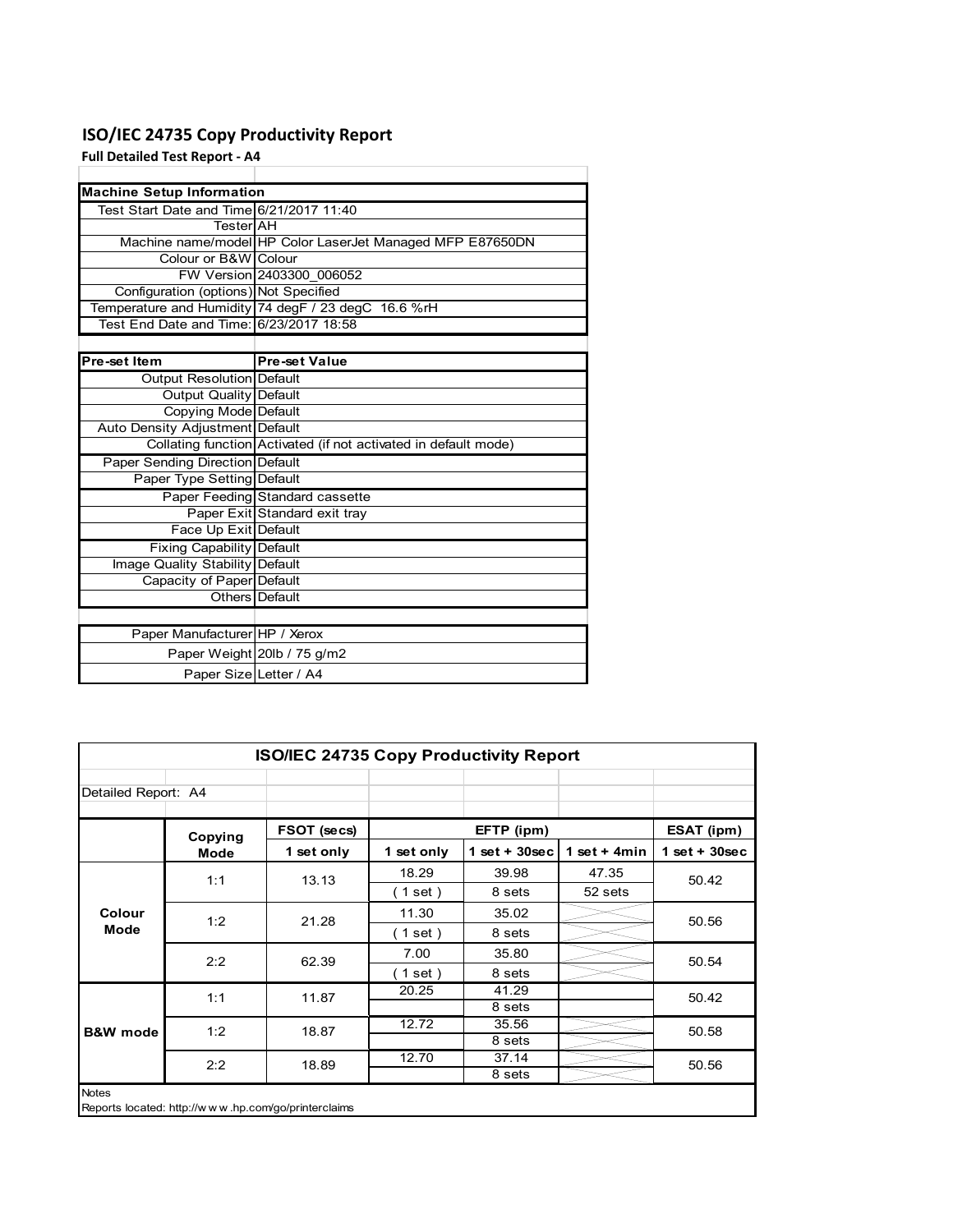# **ISO/IEC 24735 Copy Productivity Report**

**Full Detailed Test Report ‐ A4**

| <b>Machine Setup Information</b>         |                                                                 |
|------------------------------------------|-----------------------------------------------------------------|
| Test Start Date and Time 6/21/2017 11:40 |                                                                 |
| TesterIAH                                |                                                                 |
|                                          | Machine name/model HP Color LaserJet Managed MFP E87650DN       |
| Colour or B&W Colour                     |                                                                 |
|                                          | FW Version 2403300 006052                                       |
| Configuration (options) Not Specified    |                                                                 |
|                                          | Temperature and Humidity 74 degF / 23 degC 16.6 %rH             |
| Test End Date and Time: 6/23/2017 18:58  |                                                                 |
|                                          |                                                                 |
| Pre-set Item                             | <b>Pre-set Value</b>                                            |
| Output Resolution Default                |                                                                 |
| <b>Output Quality Default</b>            |                                                                 |
| Copying Mode Default                     |                                                                 |
| Auto Density Adjustment Default          |                                                                 |
|                                          | Collating function Activated (if not activated in default mode) |
| Paper Sending Direction Default          |                                                                 |
| Paper Type Setting Default               |                                                                 |
|                                          | Paper Feeding Standard cassette                                 |
|                                          | Paper Exit Standard exit tray                                   |
| Face Up Exit Default                     |                                                                 |
| <b>Fixing Capability Default</b>         |                                                                 |
| Image Quality Stability Default          |                                                                 |
| Capacity of Paper Default                |                                                                 |
|                                          | Others Default                                                  |
|                                          |                                                                 |
| Paper Manufacturer HP / Xerox            |                                                                 |
|                                          | Paper Weight 20lb / 75 g/m2                                     |
| Paper Size Letter / A4                   |                                                                 |

| <b>ISO/IEC 24735 Copy Productivity Report</b>                       |         |             |            |                 |                |                 |  |  |
|---------------------------------------------------------------------|---------|-------------|------------|-----------------|----------------|-----------------|--|--|
| Detailed Report: A4                                                 |         |             |            |                 |                |                 |  |  |
|                                                                     | Copying | FSOT (secs) |            | EFTP (ipm)      |                | ESAT (ipm)      |  |  |
|                                                                     | Mode    | 1 set only  | 1 set only | $1$ set + 30sec | 1 set $+$ 4min | $1$ set + 30sec |  |  |
|                                                                     | 1:1     | 13.13       | 18.29      | 39.98           | 47.35          | 50.42           |  |  |
| Colour<br><b>Mode</b>                                               |         |             | (1 set)    | 8 sets          | 52 sets        |                 |  |  |
|                                                                     | 1:2     | 21.28       | 11.30      | 35.02           |                | 50.56           |  |  |
|                                                                     |         |             | (1 set)    | 8 sets          |                |                 |  |  |
|                                                                     | 2:2     | 62.39       | 7.00       | 35.80           |                | 50.54           |  |  |
|                                                                     |         |             | (1 set)    | 8 sets          |                |                 |  |  |
|                                                                     | 1:1     | 11.87       | 20.25      | 41.29           |                | 50.42           |  |  |
|                                                                     |         |             |            | 8 sets          |                |                 |  |  |
| <b>B&amp;W</b> mode                                                 | 1:2     | 18.87       | 12.72      | 35.56           |                | 50.58           |  |  |
|                                                                     |         |             |            | 8 sets          |                |                 |  |  |
|                                                                     | 2:2     | 18.89       | 12.70      | 37.14           |                | 50.56           |  |  |
|                                                                     |         |             |            | 8 sets          |                |                 |  |  |
| <b>Notes</b><br>Reports located: http://www.hp.com/go/printerclaims |         |             |            |                 |                |                 |  |  |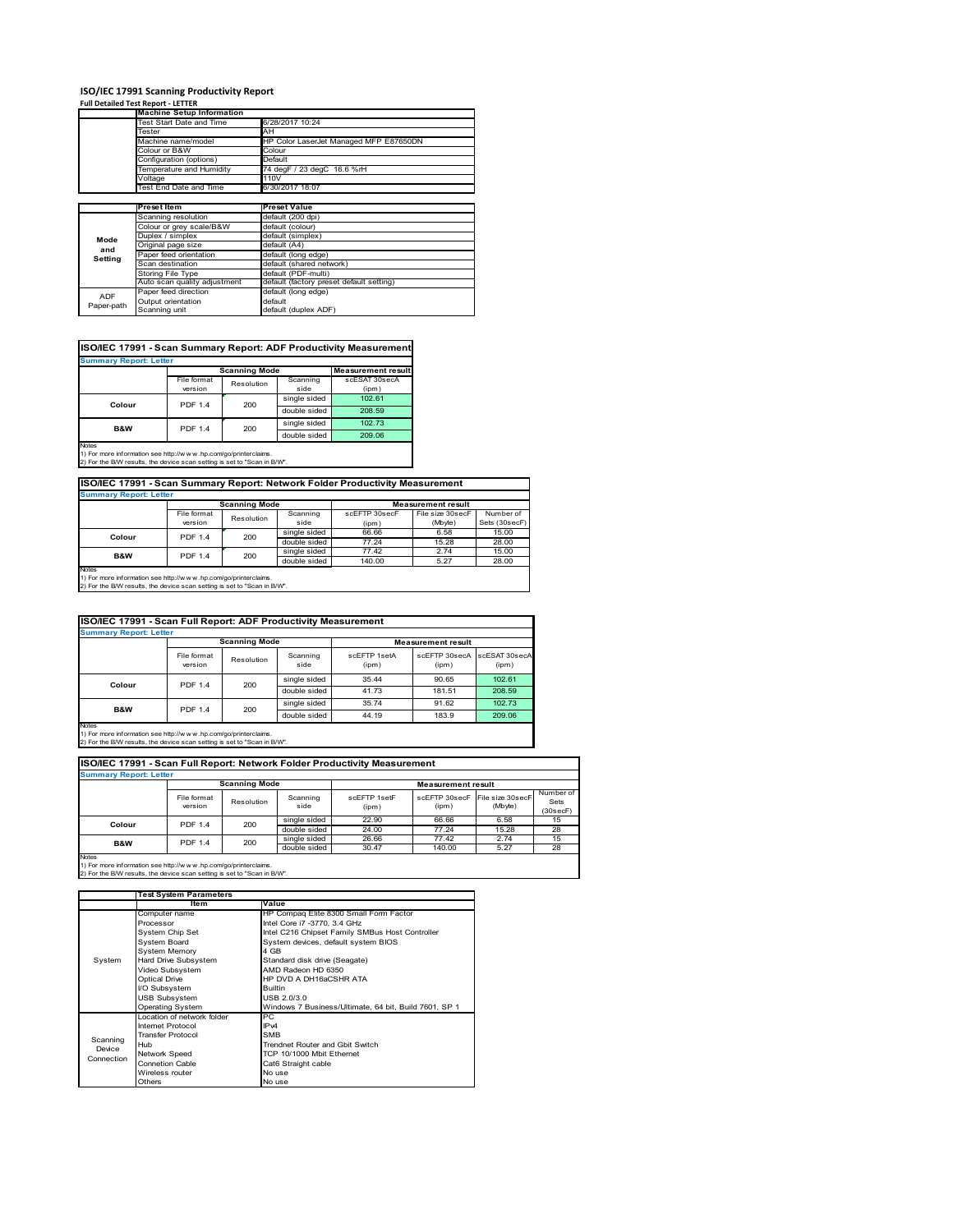# **ISO/IEC 17991 Scanning Productivity Report Full Detailed Test Report ‐ LETTER Machine Setup Information**

|            | <b>Machine Setup Information</b> |                                          |
|------------|----------------------------------|------------------------------------------|
|            | Test Start Date and Time         | 6/28/2017 10:24                          |
|            | Tester                           | AH                                       |
|            | Machine name/model               | HP Color LaserJet Managed MFP E87650DN   |
|            | Colour or B&W                    | Colour                                   |
|            | Configuration (options)          | Default                                  |
|            | Temperature and Humidity         | 74 degF / 23 degC 16.6 %rH               |
|            | Voltage                          | 110V                                     |
|            | Test End Date and Time           | 6/30/2017 18:07                          |
|            |                                  |                                          |
|            | Preset Item                      | <b>Preset Value</b>                      |
|            | Scanning resolution              | default (200 dpi)                        |
|            | Colour or grey scale/B&W         | default (colour)                         |
| Mode       | Duplex / simplex                 | default (simplex)                        |
|            | Original page size               | default (A4)                             |
| and        | Paper feed orientation           | default (long edge)                      |
| Setting    | Scan destination                 | default (shared network)                 |
|            | <b>Storing File Type</b>         | default (PDF-multi)                      |
|            | Auto scan quality adjustment     | default (factory preset default setting) |
| <b>ADF</b> | Paper feed direction             | default (long edge)                      |
|            | Output orientation               | default                                  |
| Paper-path | Scanning unit                    | default (duplex ADF)                     |

|                               |                |                      |              | ISO/IEC 17991 - Scan Summary Report: ADF Productivity Measurement |  |  |  |  |
|-------------------------------|----------------|----------------------|--------------|-------------------------------------------------------------------|--|--|--|--|
| <b>Summary Report: Letter</b> |                |                      |              |                                                                   |  |  |  |  |
|                               |                | <b>Scanning Mode</b> |              | <b>Measurement result</b>                                         |  |  |  |  |
|                               | File format    | Resolution           | Scanning     | scESAT 30secA                                                     |  |  |  |  |
|                               | version        |                      | side         | (ipm)                                                             |  |  |  |  |
| Colour                        | <b>PDF 1.4</b> | 200                  | single sided | 102.61                                                            |  |  |  |  |
|                               |                |                      | double sided | 208.59                                                            |  |  |  |  |
| B&W                           | <b>PDF 1.4</b> | 200                  | single sided | 102.73                                                            |  |  |  |  |
|                               |                |                      | double sided | 209.06                                                            |  |  |  |  |
| <b>Notes</b>                  |                |                      |              |                                                                   |  |  |  |  |

Notes 1) For more information see http://w w w .hp.com/go/printerclaims. 2) For the B/W results, the device scan setting is set to "Scan in B/W".

**ISO/IEC 17991 - Scan Summary Report: Network Folder Productivity Measurement**

| <b>Summary Report: Letter</b> |                      |            |              |                           |                  |               |
|-------------------------------|----------------------|------------|--------------|---------------------------|------------------|---------------|
|                               | <b>Scanning Mode</b> |            |              | <b>Measurement result</b> |                  |               |
|                               | File format          | Resolution | Scanning     | scEFTP 30secF             | File size 30secF | Number of     |
|                               | version              |            | side         | (ipm)                     | (Mbyte)          | Sets (30secF) |
| Colour                        | <b>PDF 1.4</b>       | 200        | single sided | 66.66                     | 6.58             | 15.00         |
|                               |                      |            | double sided | 77.24                     | 15.28            | 28.00         |
| B&W                           | <b>PDF 1.4</b>       | 200        | single sided | 77.42                     | 2.74             | 15.00         |
|                               |                      |            | double sided | 140.00                    | 5.27             | 28.00         |
| Notes                         |                      |            |              |                           |                  |               |

┓

Notes 1) For more information see http://w w w .hp.com/go/printerclaims. 2) For the B/W results, the device scan setting is set to "Scan in B/W".

| ISO/IEC 17991 - Scan Full Report: ADF Productivity Measurement |                        |                      |                  |                       |                           |                        |  |  |
|----------------------------------------------------------------|------------------------|----------------------|------------------|-----------------------|---------------------------|------------------------|--|--|
| <b>Summary Report: Letter</b>                                  |                        |                      |                  |                       |                           |                        |  |  |
|                                                                |                        | <b>Scanning Mode</b> |                  |                       | <b>Measurement result</b> |                        |  |  |
|                                                                | File format<br>version | Resolution           | Scanning<br>side | scFFTP 1setA<br>(ipm) | scEETP 30secA<br>(ipm)    | scESAT 30secA<br>(ipm) |  |  |
| Colour                                                         | <b>PDF 1.4</b><br>200  |                      | single sided     | 35.44                 | 90.65                     | 102.61                 |  |  |
|                                                                |                        |                      | double sided     | 41.73                 | 181.51                    | 208.59                 |  |  |
| <b>B&amp;W</b>                                                 | <b>PDF 1.4</b>         | 200                  | single sided     | 35.74                 | 91.62                     | 102.73                 |  |  |
|                                                                |                        |                      | double sided     | 44.19                 | 183.9                     | 209.06                 |  |  |
| <b>Notes</b>                                                   |                        |                      |                  |                       |                           |                        |  |  |

Notes 1) For more information see http://w w w .hp.com/go/printerclaims. 2) For the B/W results, the device scan setting is set to "Scan in B/W".

| ISO/IEC 17991 - Scan Full Report: Network Folder Productivity Measurement |                        |            |                  |                           |                        |                             |                               |  |  |
|---------------------------------------------------------------------------|------------------------|------------|------------------|---------------------------|------------------------|-----------------------------|-------------------------------|--|--|
| <b>Summary Report: Letter</b>                                             |                        |            |                  |                           |                        |                             |                               |  |  |
|                                                                           | <b>Scanning Mode</b>   |            |                  | <b>Measurement result</b> |                        |                             |                               |  |  |
|                                                                           | File format<br>version | Resolution | Scanning<br>side | scEETP 1setE<br>(ipm)     | scEFTP 30secF<br>(ipm) | File size 30secF<br>(Mbyte) | Number of<br>Sets<br>(30secF) |  |  |
| Colour                                                                    | PDF 1.4                | 200        | single sided     | 22.90                     | 66.66                  | 6.58                        | 15                            |  |  |
|                                                                           |                        |            | double sided     | 24.00                     | 77.24                  | 15.28                       | 28                            |  |  |
| <b>B&amp;W</b>                                                            | <b>PDF 1.4</b>         | 200        | single sided     | 26.66                     | 77.42                  | 2.74                        | 15                            |  |  |
|                                                                           |                        |            | double sided     | 30.47                     | 140.00                 | 5.27                        | 28                            |  |  |
| <b>Notes</b>                                                              |                        |            |                  |                           |                        |                             |                               |  |  |

|            | <b>Test System Parameters</b> |                                                       |  |  |
|------------|-------------------------------|-------------------------------------------------------|--|--|
|            | Item                          | Value                                                 |  |  |
|            | Computer name                 | HP Compaq Elite 8300 Small Form Factor                |  |  |
|            | Processor                     | Intel Core i7 -3770, 3.4 GHz                          |  |  |
|            | System Chip Set               | Intel C216 Chipset Family SMBus Host Controller       |  |  |
|            | <b>System Board</b>           | System devices, default system BIOS                   |  |  |
|            | <b>System Memory</b>          | 4 GB                                                  |  |  |
| System     | Hard Drive Subsystem          | Standard disk drive (Seagate)                         |  |  |
|            | Video Subsystem               | AMD Radeon HD 6350                                    |  |  |
|            | Optical Drive                 | HP DVD A DH16aCSHR ATA                                |  |  |
|            | I/O Subsystem                 | <b>Builtin</b>                                        |  |  |
|            | <b>USB Subsystem</b>          | USB 2.0/3.0                                           |  |  |
|            | Operating System              | Windows 7 Business/Ultimate, 64 bit, Build 7601, SP 1 |  |  |
|            | I ocation of network folder   | PC                                                    |  |  |
|            | Internet Protocol             | IP <sub>v4</sub>                                      |  |  |
| Scanning   | <b>Transfer Protocol</b>      | <b>SMB</b>                                            |  |  |
| Device     | Hub                           | Trendnet Router and Gbit Switch                       |  |  |
| Connection | Network Speed                 | TCP 10/1000 Mbit Ethernet                             |  |  |
|            | <b>Connetion Cable</b>        | Cat6 Straight cable                                   |  |  |
|            | Wireless router               | No use                                                |  |  |
|            | Others                        | No use                                                |  |  |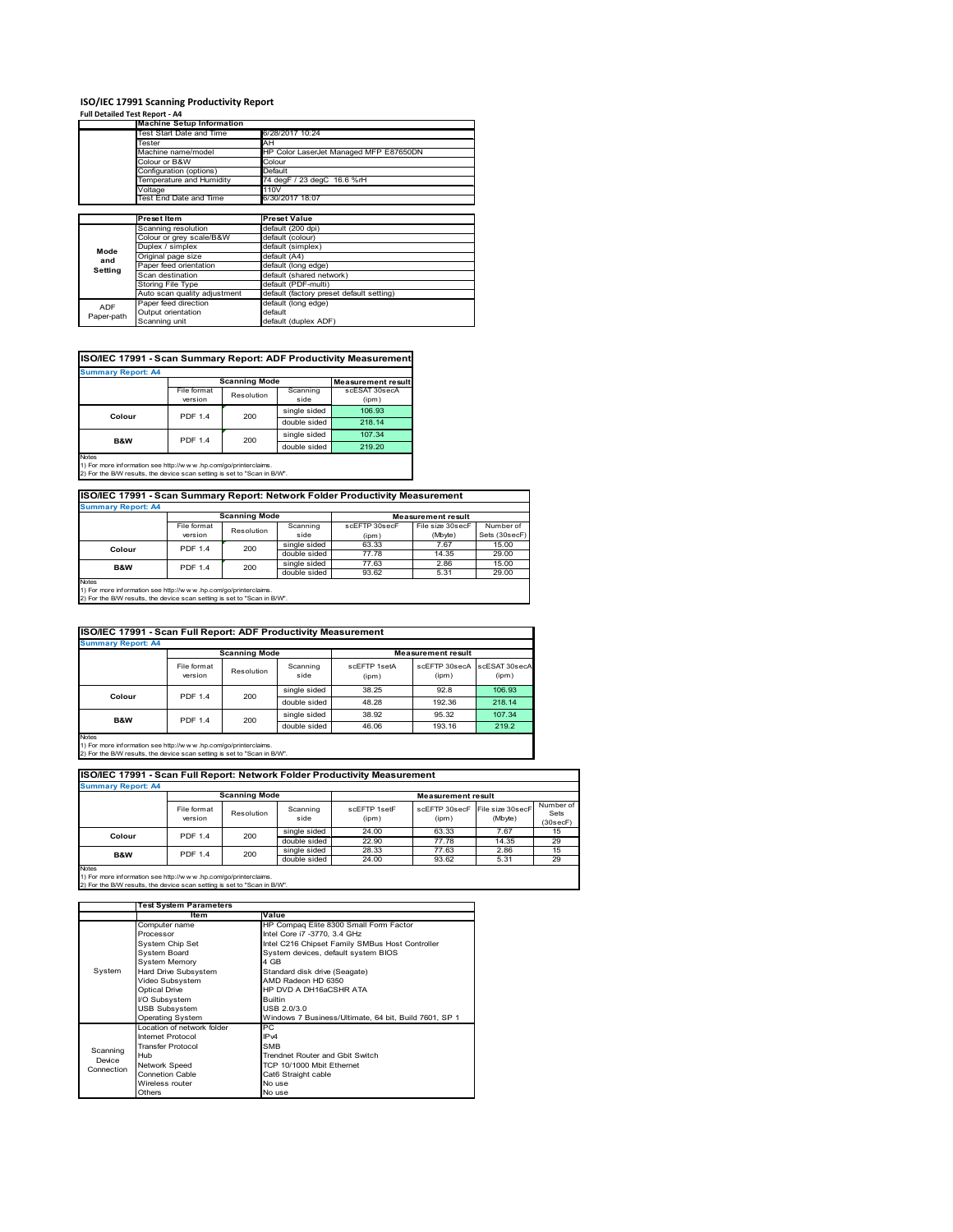#### **ISO/IEC 17991 Scanning Productivity Report Full Detailed Test Report ‐ A4**

| $1.911$ Decument restriction to $7.77$ |                                  |                                          |
|----------------------------------------|----------------------------------|------------------------------------------|
|                                        | <b>Machine Setup Information</b> |                                          |
|                                        | Test Start Date and Time         | 6/28/2017 10:24                          |
|                                        | Tester                           | AH                                       |
|                                        | Machine name/model               | HP Color LaserJet Managed MFP E87650DN   |
|                                        | Colour or B&W                    | Colour                                   |
|                                        | Configuration (options)          | Default                                  |
|                                        | Temperature and Humidity         | 74 degF / 23 degC 16.6 %rH               |
|                                        | Voltage                          | 110V                                     |
|                                        | Test End Date and Time           | 6/30/2017 18:07                          |
|                                        |                                  |                                          |
|                                        | <b>Preset Item</b>               | <b>Preset Value</b>                      |
|                                        | Scanning resolution              | default (200 dpi)                        |
|                                        | Colour or grey scale/B&W         | default (colour)                         |
| Mode                                   | Duplex / simplex                 | default (simplex)                        |
| and                                    | Original page size               | default (A4)                             |
| Setting                                | Paper feed orientation           | default (long edge)                      |
|                                        | Scan destination                 | default (shared network)                 |
|                                        | <b>Storing File Type</b>         | default (PDF-multi)                      |
|                                        | Auto scan quality adjustment     | default (factory preset default setting) |
| <b>ADF</b>                             | Paper feed direction             | default (long edge)                      |
| Paper-path                             | Output orientation               | default                                  |
|                                        | Scanning unit                    | default (duplex ADF)                     |

## **ISO/IEC 17991 - Scan Summary Report: ADF Productivity Measurement**

| <b>Summary Report: A4</b> |                        |                      |                  |                           |  |  |  |
|---------------------------|------------------------|----------------------|------------------|---------------------------|--|--|--|
|                           |                        | <b>Scanning Mode</b> |                  | <b>Measurement result</b> |  |  |  |
|                           | File format<br>version | Resolution           | Scanning<br>side | scESAT 30secA<br>(ipm)    |  |  |  |
| Colour                    | <b>PDF 1.4</b>         | 200                  | single sided     | 106.93                    |  |  |  |
|                           |                        |                      | double sided     | 218.14                    |  |  |  |
| B&W                       | <b>PDF 1.4</b>         | 200                  | single sided     | 107.34                    |  |  |  |
|                           |                        |                      | double sided     | 219.20                    |  |  |  |
| <b>Notes</b>              |                        |                      |                  |                           |  |  |  |

1) For more information see http://w w w .hp.com/go/printerclaims. 2) For the B/W results, the device scan setting is set to "Scan in B/W".

# **ISO/IEC 17991 - Scan Summary Report: Network Folder Productivity Measurement Summary Report: A4**

| <b>BUILDIARY INCLUIL AT</b> |                      |            |              |                           |                  |               |
|-----------------------------|----------------------|------------|--------------|---------------------------|------------------|---------------|
|                             | <b>Scanning Mode</b> |            |              | <b>Measurement result</b> |                  |               |
|                             | File format          | Resolution | Scanning     | scEFTP 30secF             | File size 30secF | Number of     |
|                             | version              |            | side         | (ipm)                     | (Mbyte)          | Sets (30secF) |
| Colour                      | <b>PDF 1.4</b>       | 200        | single sided | 63.33                     | 7.67             | 15.00         |
|                             |                      |            | double sided | 77.78                     | 14.35            | 29.00         |
| B&W                         | <b>PDF 1.4</b>       | 200        | single sided | 77.63                     | 2.86             | 15.00         |
|                             |                      |            | double sided | 93.62                     | 5.31             | 29.00         |
| Notes                       |                      |            |              |                           |                  |               |

Notes 1) For more information see http://w w w .hp.com/go/printerclaims. 2) For the B/W results, the device scan setting is set to "Scan in B/W".

| ISO/IEC 17991 - Scan Full Report: ADF Productivity Measurement |                        |                      |                  |                       |                           |                        |  |  |
|----------------------------------------------------------------|------------------------|----------------------|------------------|-----------------------|---------------------------|------------------------|--|--|
| <b>Summary Report: A4</b>                                      |                        |                      |                  |                       |                           |                        |  |  |
|                                                                |                        | <b>Scanning Mode</b> |                  |                       | <b>Measurement result</b> |                        |  |  |
|                                                                | File format<br>version | Resolution           | Scanning<br>side | scFFTP 1setA<br>(ipm) | scEFTP 30secA<br>(ipm)    | scESAT 30secA<br>(ipm) |  |  |
| Colour                                                         | <b>PDF 1.4</b><br>200  |                      | single sided     | 38.25                 | 92.8                      | 106.93                 |  |  |
|                                                                |                        | double sided         | 48.28            | 192.36                | 218.14                    |                        |  |  |
| <b>B&amp;W</b>                                                 | <b>PDF 1.4</b>         | 200                  | single sided     | 38.92                 | 95.32                     | 107.34                 |  |  |
|                                                                |                        |                      | double sided     | 46.06                 | 193.16                    | 219.2                  |  |  |
| Notes                                                          |                        |                      |                  |                       |                           |                        |  |  |

Notes 1) For more information see http://w w w .hp.com/go/printerclaims. 2) For the B/W results, the device scan setting is set to "Scan in B/W".

| ISO/IEC 17991 - Scan Full Report: Network Folder Productivity Measurement |                        |            |                  |                       |       |                                           |                               |  |  |
|---------------------------------------------------------------------------|------------------------|------------|------------------|-----------------------|-------|-------------------------------------------|-------------------------------|--|--|
| <b>Summary Report: A4</b>                                                 |                        |            |                  |                       |       |                                           |                               |  |  |
| <b>Scanning Mode</b><br><b>Measurement result</b>                         |                        |            |                  |                       |       |                                           |                               |  |  |
|                                                                           | File format<br>version | Resolution | Scanning<br>side | scFFTP 1setF<br>(ipm) | (ipm) | scEFTP 30secF File size 30secF<br>(Mbyte) | Number of<br>Sets<br>(30secF) |  |  |
| Colour                                                                    | <b>PDF 1.4</b>         | 200        | single sided     | 24.00                 | 63.33 | 7.67                                      | 15                            |  |  |
|                                                                           |                        |            | double sided     | 22.90                 | 77.78 | 14.35                                     | 29                            |  |  |
| <b>B&amp;W</b>                                                            | <b>PDF 1.4</b>         | 200        | single sided     | 28.33                 | 77.63 | 2.86                                      | 15                            |  |  |
|                                                                           |                        |            | double sided     | 24.00                 | 93.62 | 5.31                                      | 29                            |  |  |
| <b>Notes</b>                                                              |                        |            |                  |                       |       |                                           |                               |  |  |

|            | <b>Test System Parameters</b> |                                                       |  |  |
|------------|-------------------------------|-------------------------------------------------------|--|--|
|            | ltem                          | Value                                                 |  |  |
|            | Computer name                 | HP Compaq Elite 8300 Small Form Factor                |  |  |
|            | Processor                     | Intel Core i7 -3770, 3.4 GHz                          |  |  |
|            | System Chip Set               | Intel C216 Chipset Family SMBus Host Controller       |  |  |
|            | System Board                  | System devices, default system BIOS                   |  |  |
|            | <b>System Memory</b>          | 4 GB                                                  |  |  |
| System     | Hard Drive Subsystem          | Standard disk drive (Seagate)                         |  |  |
|            | Video Subsystem               | AMD Radeon HD 6350                                    |  |  |
|            | <b>Optical Drive</b>          | HP DVD A DH16aCSHR ATA                                |  |  |
|            | I/O Subsystem                 | <b>Builtin</b>                                        |  |  |
|            | <b>USB Subsystem</b>          | USB 2.0/3.0                                           |  |  |
|            | <b>Operating System</b>       | Windows 7 Business/Ultimate, 64 bit, Build 7601, SP 1 |  |  |
|            | I ocation of network folder   | РC                                                    |  |  |
|            | <b>Internet Protocol</b>      | IP <sub>v4</sub>                                      |  |  |
| Scanning   | <b>Transfer Protocol</b>      | <b>SMB</b>                                            |  |  |
| Device     | Hub                           | Trendnet Router and Gbit Switch                       |  |  |
| Connection | Network Speed                 | TCP 10/1000 Mbit Ethernet                             |  |  |
|            | <b>Connetion Cable</b>        | Cat6 Straight cable                                   |  |  |
|            | Wireless router               | No use                                                |  |  |
|            | Others                        | No use                                                |  |  |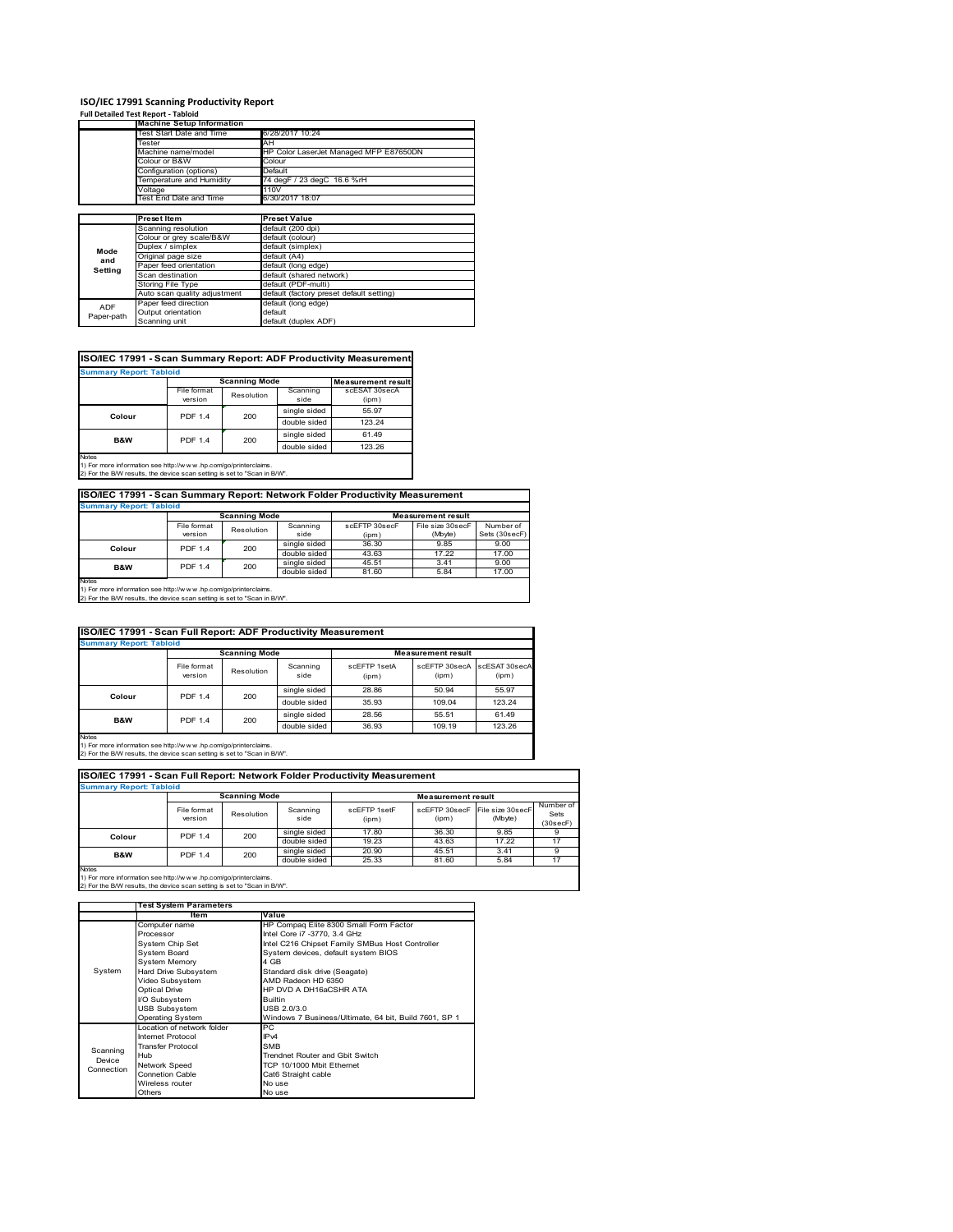## **ISO/IEC 17991 Scanning Productivity Report**

|            | <b>Full Detailed Test Report - Tabloid</b> |                                          |  |  |
|------------|--------------------------------------------|------------------------------------------|--|--|
|            | <b>Machine Setup Information</b>           |                                          |  |  |
|            | Test Start Date and Time                   | 6/28/2017 10:24                          |  |  |
|            | Tester                                     | AH                                       |  |  |
|            | Machine name/model                         | HP Color LaserJet Managed MFP E87650DN   |  |  |
|            | Colour or B&W                              | Colour                                   |  |  |
|            | Configuration (options)                    | Default                                  |  |  |
|            | Temperature and Humidity                   | 74 degF / 23 degC 16.6 %rH               |  |  |
|            | Voltage                                    | 110V                                     |  |  |
|            | Test End Date and Time                     | 6/30/2017 18:07                          |  |  |
|            |                                            |                                          |  |  |
|            | <b>Preset Item</b>                         | <b>Preset Value</b>                      |  |  |
|            | Scanning resolution                        | default (200 dpi)                        |  |  |
|            | Colour or grey scale/B&W                   | default (colour)                         |  |  |
| Mode       | Duplex / simplex                           | default (simplex)                        |  |  |
| and        | Original page size                         | default (A4)                             |  |  |
| Setting    | Paper feed orientation                     | default (long edge)                      |  |  |
|            | Scan destination                           | default (shared network)                 |  |  |
|            | Storing File Type                          | default (PDF-multi)                      |  |  |
|            | Auto scan quality adjustment               | default (factory preset default setting) |  |  |
| <b>ADF</b> | Paper feed direction                       | default (long edge)                      |  |  |
| Paper-path | Output orientation                         | default                                  |  |  |
|            | Scanning unit                              | default (duplex ADF)                     |  |  |

## **ISO/IEC 17991 - Scan Summary Report: ADF Productivity Measurement**

| <b>Summary Report: Tabloid</b> |                        |                      |                  |                           |  |  |
|--------------------------------|------------------------|----------------------|------------------|---------------------------|--|--|
|                                |                        | <b>Scanning Mode</b> |                  | <b>Measurement result</b> |  |  |
|                                | File format<br>version | Resolution           | Scanning<br>side | scESAT 30secA<br>(ipm)    |  |  |
|                                | <b>PDF 1.4</b>         | 200                  | single sided     | 55.97                     |  |  |
| Colour                         |                        |                      | double sided     | 123.24                    |  |  |
| <b>B&amp;W</b>                 | <b>PDF 1.4</b>         | 200                  | single sided     | 61.49                     |  |  |
|                                |                        |                      | double sided     | 123.26                    |  |  |
| <b>Notes</b>                   |                        |                      |                  |                           |  |  |

Notes 1) For more information see http://w w w .hp.com/go/printerclaims. 2) For the B/W results, the device scan setting is set to "Scan in B/W".

## **ISO/IEC 17991 - Scan Summary Report: Network Folder Productivity Measurement**

| <b>Summary Report: Tabloid</b> |                           |          |               |                           |           |               |  |
|--------------------------------|---------------------------|----------|---------------|---------------------------|-----------|---------------|--|
|                                | <b>Scanning Mode</b>      |          |               | <b>Measurement result</b> |           |               |  |
|                                | File format<br>Resolution | Scanning | scEFTP 30secF | File size 30secF          | Number of |               |  |
|                                | version                   |          | side          | (ipm)                     | (Mbyte)   | Sets (30secF) |  |
| Colour                         | <b>PDF 1.4</b>            | 200      | single sided  | 36.30                     | 9.85      | 9.00          |  |
|                                |                           |          | double sided  | 43.63                     | 17.22     | 17.00         |  |
| B&W                            | <b>PDF 1.4</b>            | 200      | single sided  | 45.51                     | 3.41      | 9.00          |  |
|                                |                           |          | double sided  | 81.60                     | 5.84      | 17.00         |  |
| <b>Notes</b>                   |                           |          |               |                           |           |               |  |

Notes 1) For more information see http://w w w .hp.com/go/printerclaims. 2) For the B/W results, the device scan setting is set to "Scan in B/W".

| <b>ISO/IEC 17991 - Scan Full Report: ADF Productivity Measurement</b> |                        |                      |                  |                       |                                      |        |  |
|-----------------------------------------------------------------------|------------------------|----------------------|------------------|-----------------------|--------------------------------------|--------|--|
| <b>Summary Report: Tabloid</b>                                        |                        |                      |                  |                       |                                      |        |  |
|                                                                       |                        | <b>Scanning Mode</b> |                  |                       | <b>Measurement result</b>            |        |  |
|                                                                       | File format<br>version | Resolution           | Scanning<br>side | scFFTP 1setA<br>(ipm) | scEFTP 30secA scESAT 30secA<br>(ipm) | (ipm)  |  |
| Colour                                                                | <b>PDF 1.4</b>         | 200                  | single sided     | 28.86                 | 50.94                                | 55.97  |  |
|                                                                       |                        |                      | double sided     | 35.93                 | 109.04                               | 123.24 |  |
| <b>B&amp;W</b>                                                        | <b>PDF 1.4</b>         |                      | single sided     | 28.56                 | 55.51                                | 61.49  |  |
|                                                                       |                        | 200                  | double sided     | 36.93                 | 109.19                               | 123.26 |  |
| Notes                                                                 |                        |                      |                  |                       |                                      |        |  |

Notes 1) For more information see http://w w w .hp.com/go/printerclaims. 2) For the B/W results, the device scan setting is set to "Scan in B/W".

| ISO/IEC 17991 - Scan Full Report: Network Folder Productivity Measurement |                        |                       |                  |                       |                                         |         |                               |  |  |
|---------------------------------------------------------------------------|------------------------|-----------------------|------------------|-----------------------|-----------------------------------------|---------|-------------------------------|--|--|
| <b>Summary Report: Tabloid</b>                                            |                        |                       |                  |                       |                                         |         |                               |  |  |
| <b>Scanning Mode</b><br><b>Measurement result</b>                         |                        |                       |                  |                       |                                         |         |                               |  |  |
|                                                                           | File format<br>version | Resolution            | Scanning<br>side | scFFTP 1setF<br>(ipm) | scEFTP 30secF File size 30secF<br>(ipm) | (Mbyte) | Number of<br>Sets<br>(30secF) |  |  |
| Colour                                                                    |                        | 200<br><b>PDF 1.4</b> | single sided     | 17.80                 | 36.30                                   | 9.85    |                               |  |  |
|                                                                           |                        |                       | double sided     | 19.23                 | 43.63                                   | 17.22   | 17                            |  |  |
| <b>B&amp;W</b>                                                            | <b>PDF 1.4</b>         | 200                   | single sided     | 20.90                 | 45.51                                   | 3.41    |                               |  |  |
|                                                                           |                        |                       | double sided     | 25.33                 | 81.60                                   | 5.84    | 17                            |  |  |
| <b>Notes</b>                                                              |                        |                       |                  |                       |                                         |         |                               |  |  |

|            | <b>Test System Parameters</b> |                                                       |  |  |
|------------|-------------------------------|-------------------------------------------------------|--|--|
|            | <b>Item</b>                   | Value                                                 |  |  |
|            | Computer name                 | HP Compaq Elite 8300 Small Form Factor                |  |  |
|            | Processor                     | Intel Core i7 -3770, 3.4 GHz                          |  |  |
|            | System Chip Set               | Intel C216 Chipset Family SMBus Host Controller       |  |  |
|            | <b>System Board</b>           | System devices, default system BIOS                   |  |  |
|            | <b>System Memory</b>          | 4 GB                                                  |  |  |
| System     | Hard Drive Subsystem          | Standard disk drive (Seagate)                         |  |  |
|            | Video Subsystem               | AMD Radeon HD 6350                                    |  |  |
|            | Optical Drive                 | HP DVD A DH16aCSHR ATA                                |  |  |
|            | I/O Subsystem                 | <b>Builtin</b>                                        |  |  |
|            | <b>USB Subsystem</b>          | USB 2.0/3.0                                           |  |  |
|            | <b>Operating System</b>       | Windows 7 Business/Ultimate, 64 bit, Build 7601, SP 1 |  |  |
|            | Location of network folder    | РC                                                    |  |  |
|            | Internet Protocol             | IP <sub>v4</sub>                                      |  |  |
| Scanning   | <b>Transfer Protocol</b>      | <b>SMB</b>                                            |  |  |
| Device     | Hub                           | Trendnet Router and Gbit Switch                       |  |  |
| Connection | Network Speed                 | TCP 10/1000 Mbit Ethernet                             |  |  |
|            | <b>Connetion Cable</b>        | Cat6 Straight cable                                   |  |  |
|            | Wireless router               | No use                                                |  |  |
|            | Others                        | No use                                                |  |  |